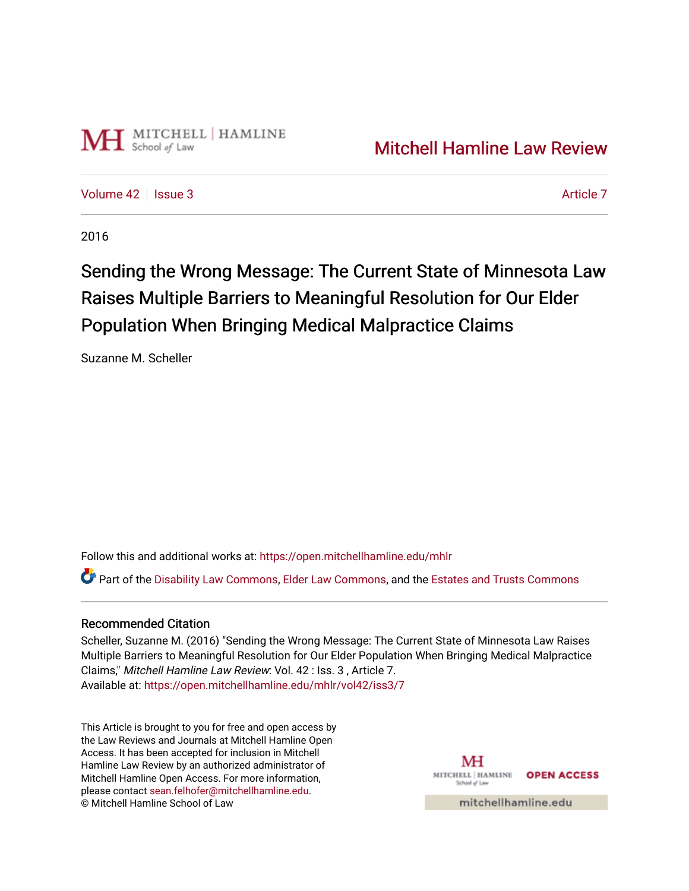

[Volume 42](https://open.mitchellhamline.edu/mhlr/vol42) | [Issue 3](https://open.mitchellhamline.edu/mhlr/vol42/iss3) [Article 7](https://open.mitchellhamline.edu/mhlr/vol42/iss3/7) Article 7

2016

# Sending the Wrong Message: The Current State of Minnesota Law Raises Multiple Barriers to Meaningful Resolution for Our Elder Population When Bringing Medical Malpractice Claims

Suzanne M. Scheller

Follow this and additional works at: [https://open.mitchellhamline.edu/mhlr](https://open.mitchellhamline.edu/mhlr?utm_source=open.mitchellhamline.edu%2Fmhlr%2Fvol42%2Fiss3%2F7&utm_medium=PDF&utm_campaign=PDFCoverPages) 

Part of the [Disability Law Commons](http://network.bepress.com/hgg/discipline/1074?utm_source=open.mitchellhamline.edu%2Fmhlr%2Fvol42%2Fiss3%2F7&utm_medium=PDF&utm_campaign=PDFCoverPages), [Elder Law Commons](http://network.bepress.com/hgg/discipline/842?utm_source=open.mitchellhamline.edu%2Fmhlr%2Fvol42%2Fiss3%2F7&utm_medium=PDF&utm_campaign=PDFCoverPages), and the [Estates and Trusts Commons](http://network.bepress.com/hgg/discipline/906?utm_source=open.mitchellhamline.edu%2Fmhlr%2Fvol42%2Fiss3%2F7&utm_medium=PDF&utm_campaign=PDFCoverPages) 

# Recommended Citation

Scheller, Suzanne M. (2016) "Sending the Wrong Message: The Current State of Minnesota Law Raises Multiple Barriers to Meaningful Resolution for Our Elder Population When Bringing Medical Malpractice Claims," Mitchell Hamline Law Review: Vol. 42 : Iss. 3 , Article 7. Available at: [https://open.mitchellhamline.edu/mhlr/vol42/iss3/7](https://open.mitchellhamline.edu/mhlr/vol42/iss3/7?utm_source=open.mitchellhamline.edu%2Fmhlr%2Fvol42%2Fiss3%2F7&utm_medium=PDF&utm_campaign=PDFCoverPages) 

This Article is brought to you for free and open access by the Law Reviews and Journals at Mitchell Hamline Open Access. It has been accepted for inclusion in Mitchell Hamline Law Review by an authorized administrator of Mitchell Hamline Open Access. For more information, please contact [sean.felhofer@mitchellhamline.edu.](mailto:sean.felhofer@mitchellhamline.edu) © Mitchell Hamline School of Law

MH MITCHELL | HAMLINE **OPEN ACCESS** School of Lav

mitchellhamline.edu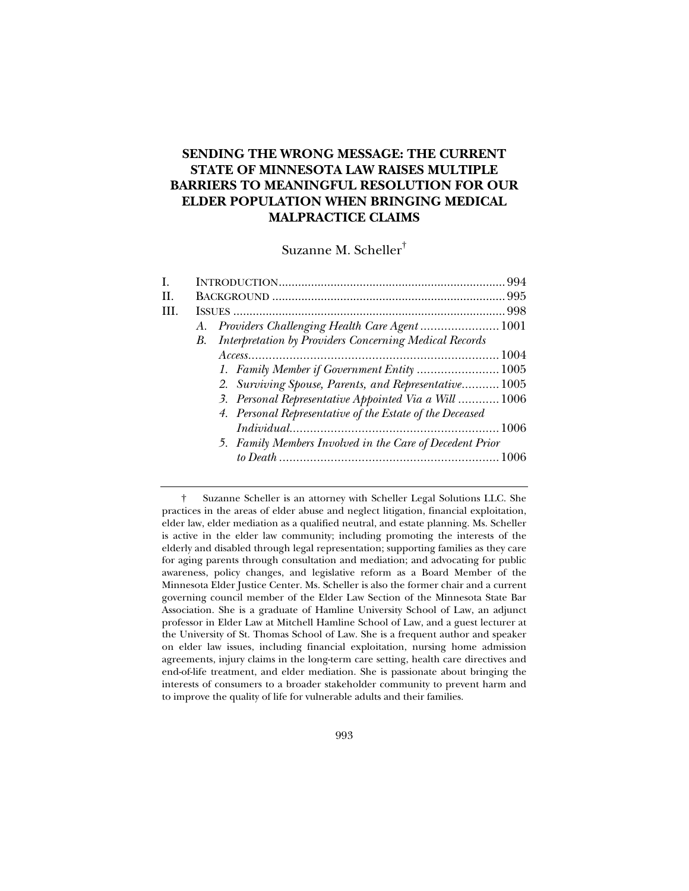# **SENDING THE WRONG MESSAGE: THE CURRENT STATE OF MINNESOTA LAW RAISES MULTIPLE BARRIERS TO MEANINGFUL RESOLUTION FOR OUR ELDER POPULATION WHEN BRINGING MEDICAL MALPRACTICE CLAIMS**

Suzanne M. Scheller†

| I.  |                                                           |  |
|-----|-----------------------------------------------------------|--|
| II. |                                                           |  |
| HL. |                                                           |  |
|     | A. Providers Challenging Health Care Agent  1001          |  |
|     | B. Interpretation by Providers Concerning Medical Records |  |
|     |                                                           |  |
|     | 1. Family Member if Government Entity  1005               |  |
|     | 2. Surviving Spouse, Parents, and Representative 1005     |  |
|     | 3. Personal Representative Appointed Via a Will  1006     |  |
|     | 4. Personal Representative of the Estate of the Deceased  |  |
|     |                                                           |  |
|     | 5. Family Members Involved in the Care of Decedent Prior  |  |
|     |                                                           |  |
|     |                                                           |  |

 † Suzanne Scheller is an attorney with Scheller Legal Solutions LLC. She practices in the areas of elder abuse and neglect litigation, financial exploitation, elder law, elder mediation as a qualified neutral, and estate planning. Ms. Scheller is active in the elder law community; including promoting the interests of the elderly and disabled through legal representation; supporting families as they care for aging parents through consultation and mediation; and advocating for public awareness, policy changes, and legislative reform as a Board Member of the Minnesota Elder Justice Center. Ms. Scheller is also the former chair and a current governing council member of the Elder Law Section of the Minnesota State Bar Association. She is a graduate of Hamline University School of Law, an adjunct professor in Elder Law at Mitchell Hamline School of Law, and a guest lecturer at the University of St. Thomas School of Law. She is a frequent author and speaker on elder law issues, including financial exploitation, nursing home admission agreements, injury claims in the long-term care setting, health care directives and end-of-life treatment, and elder mediation. She is passionate about bringing the interests of consumers to a broader stakeholder community to prevent harm and to improve the quality of life for vulnerable adults and their families.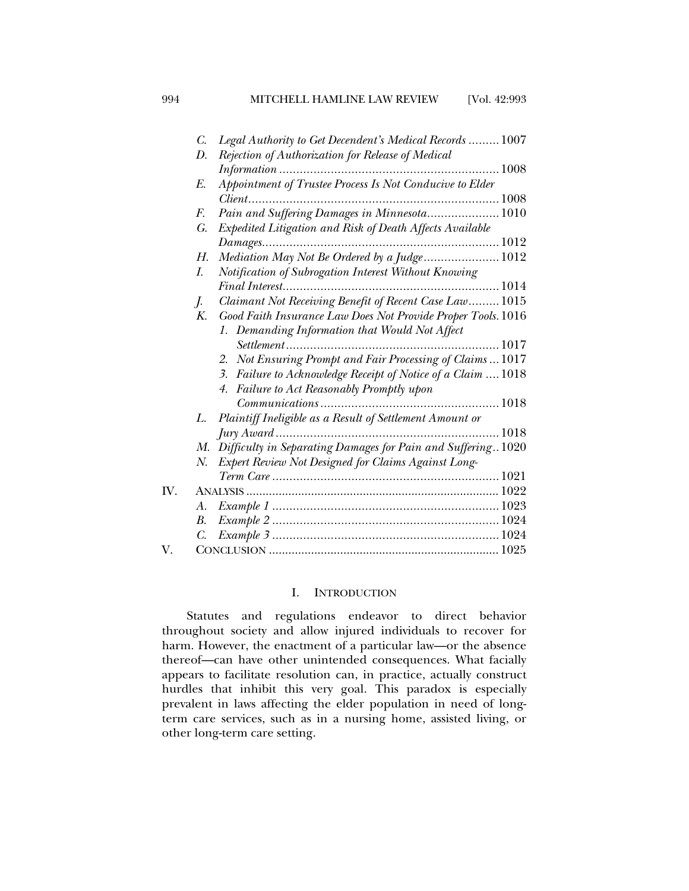|     | C. | Legal Authority to Get Decendent's Medical Records  1007        |
|-----|----|-----------------------------------------------------------------|
|     | D. | Rejection of Authorization for Release of Medical               |
|     |    |                                                                 |
|     | E. | Appointment of Trustee Process Is Not Conducive to Elder        |
|     |    |                                                                 |
|     | F. | Pain and Suffering Damages in Minnesota 1010                    |
|     | G. | Expedited Litigation and Risk of Death Affects Available        |
|     |    |                                                                 |
|     | Н. | Mediation May Not Be Ordered by a Judge 1012                    |
|     | I. | Notification of Subrogation Interest Without Knowing            |
|     |    |                                                                 |
|     | J. | Claimant Not Receiving Benefit of Recent Case Law 1015          |
|     | K. | Good Faith Insurance Law Does Not Provide Proper Tools. 1016    |
|     |    | 1. Demanding Information that Would Not Affect                  |
|     |    |                                                                 |
|     |    | 2. Not Ensuring Prompt and Fair Processing of Claims  1017      |
|     |    |                                                                 |
|     |    | 3. Failure to Acknowledge Receipt of Notice of a Claim  1018    |
|     |    | 4. Failure to Act Reasonably Promptly upon                      |
|     |    |                                                                 |
|     | L. | Plaintiff Ineligible as a Result of Settlement Amount or        |
|     |    |                                                                 |
|     |    | M. Difficulty in Separating Damages for Pain and Suffering 1020 |
|     | Ν. | Expert Review Not Designed for Claims Against Long-             |
|     |    |                                                                 |
| IV. |    |                                                                 |
|     | А. |                                                                 |
|     | В. |                                                                 |
|     | C. |                                                                 |
| V.  |    |                                                                 |

## I. INTRODUCTION

Statutes and regulations endeavor to direct behavior throughout society and allow injured individuals to recover for harm. However, the enactment of a particular law—or the absence thereof—can have other unintended consequences. What facially appears to facilitate resolution can, in practice, actually construct hurdles that inhibit this very goal. This paradox is especially prevalent in laws affecting the elder population in need of longterm care services, such as in a nursing home, assisted living, or other long-term care setting.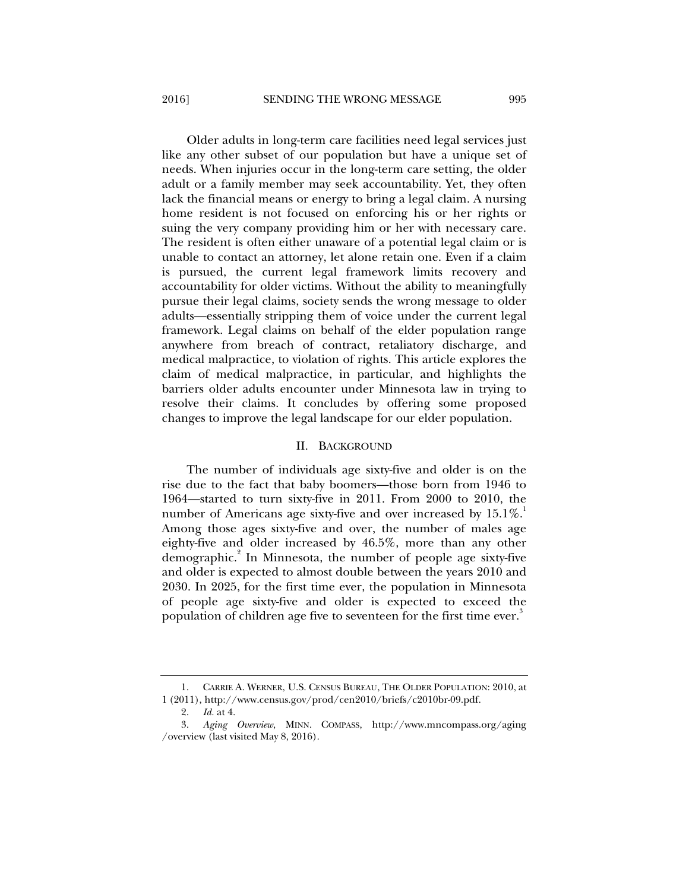Older adults in long-term care facilities need legal services just like any other subset of our population but have a unique set of needs. When injuries occur in the long-term care setting, the older adult or a family member may seek accountability. Yet, they often lack the financial means or energy to bring a legal claim. A nursing home resident is not focused on enforcing his or her rights or suing the very company providing him or her with necessary care. The resident is often either unaware of a potential legal claim or is unable to contact an attorney, let alone retain one. Even if a claim is pursued, the current legal framework limits recovery and accountability for older victims. Without the ability to meaningfully pursue their legal claims, society sends the wrong message to older adults—essentially stripping them of voice under the current legal framework. Legal claims on behalf of the elder population range anywhere from breach of contract, retaliatory discharge, and medical malpractice, to violation of rights. This article explores the claim of medical malpractice, in particular, and highlights the barriers older adults encounter under Minnesota law in trying to resolve their claims. It concludes by offering some proposed changes to improve the legal landscape for our elder population.

## II. BACKGROUND

The number of individuals age sixty-five and older is on the rise due to the fact that baby boomers—those born from 1946 to 1964—started to turn sixty-five in 2011. From 2000 to 2010, the number of Americans age sixty-five and over increased by  $15.1\%$ . Among those ages sixty-five and over, the number of males age eighty-five and older increased by 46.5%, more than any other demographic.<sup>2</sup> In Minnesota, the number of people age sixty-five and older is expected to almost double between the years 2010 and 2030. In 2025, for the first time ever, the population in Minnesota of people age sixty-five and older is expected to exceed the population of children age five to seventeen for the first time ever.<sup>3</sup>

 <sup>1.</sup> CARRIE A. WERNER, U.S. CENSUS BUREAU, THE OLDER POPULATION: 2010, at 1 (2011), http://www.census.gov/prod/cen2010/briefs/c2010br-09.pdf.

 <sup>2.</sup> *Id.* at 4.

 <sup>3.</sup> *Aging Overview*, MINN. COMPASS, http://www.mncompass.org/aging /overview (last visited May 8, 2016).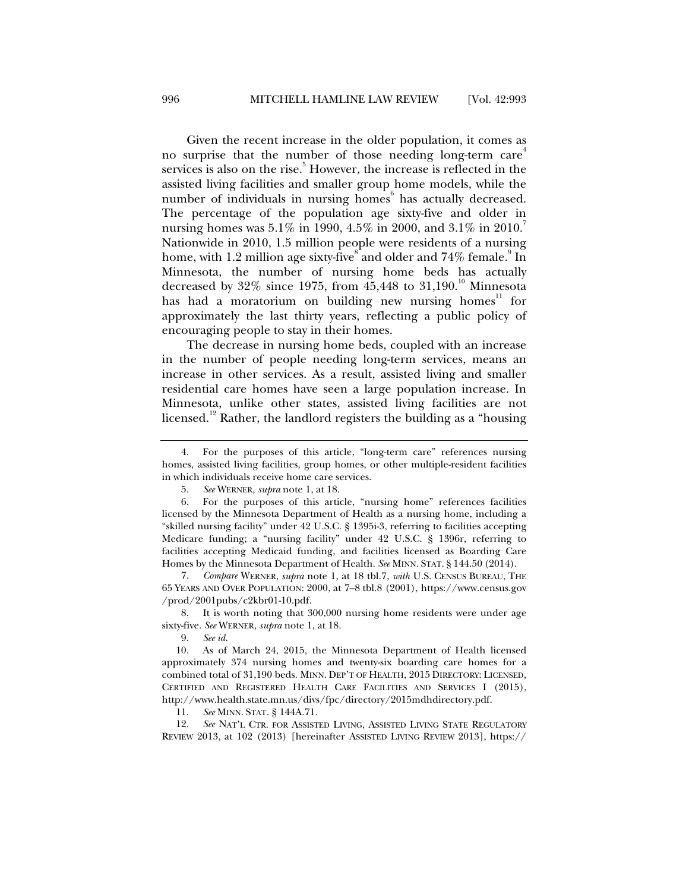Given the recent increase in the older population, it comes as no surprise that the number of those needing long-term care<sup>4</sup> services is also on the rise.<sup>5</sup> However, the increase is reflected in the assisted living facilities and smaller group home models, while the number of individuals in nursing homes<sup>6</sup> has actually decreased. The percentage of the population age sixty-five and older in nursing homes was 5.1% in 1990, 4.5% in 2000, and 3.1% in 2010. Nationwide in 2010, 1.5 million people were residents of a nursing home, with 1.2 million age sixty-five and older and  $74\%$  female. In Minnesota, the number of nursing home beds has actually decreased by  $32\%$  since 1975, from  $45,448$  to  $31,190$ .<sup>10</sup> Minnesota has had a moratorium on building new nursing homes<sup>11</sup> for approximately the last thirty years, reflecting a public policy of encouraging people to stay in their homes.

The decrease in nursing home beds, coupled with an increase in the number of people needing long-term services, means an increase in other services. As a result, assisted living and smaller residential care homes have seen a large population increase. In Minnesota, unlike other states, assisted living facilities are not licensed.<sup>12</sup> Rather, the landlord registers the building as a "housing"

 6. For the purposes of this article, "nursing home" references facilities licensed by the Minnesota Department of Health as a nursing home, including a "skilled nursing facility" under 42 U.S.C. § 1395i-3, referring to facilities accepting Medicare funding; a "nursing facility" under 42 U.S.C. § 1396r, referring to facilities accepting Medicaid funding, and facilities licensed as Boarding Care Homes by the Minnesota Department of Health. *See* MINN. STAT. § 144.50 (2014).

 7. *Compare* WERNER, *supra* note 1, at 18 tbl.7, *with* U.S. CENSUS BUREAU, THE 65 YEARS AND OVER POPULATION: 2000, at 7–8 tbl.8 (2001), https://www.census.gov /prod/2001pubs/c2kbr01-10.pdf.

 8. It is worth noting that 300,000 nursing home residents were under age sixty-five. *See* WERNER, *supra* note 1, at 18.

9. *See id.*

 10. As of March 24, 2015, the Minnesota Department of Health licensed approximately 374 nursing homes and twenty-six boarding care homes for a combined total of 31,190 beds. MINN. DEP'T OF HEALTH, 2015 DIRECTORY: LICENSED, CERTIFIED AND REGISTERED HEALTH CARE FACILITIES AND SERVICES I (2015), http://www.health.state.mn.us/divs/fpc/directory/2015mdhdirectory.pdf.

11. *See* MINN. STAT. § 144A.71.

 12. *See* NAT'L CTR. FOR ASSISTED LIVING, ASSISTED LIVING STATE REGULATORY REVIEW 2013, at 102 (2013) [hereinafter ASSISTED LIVING REVIEW 2013], https://

 <sup>4.</sup> For the purposes of this article, "long-term care" references nursing homes, assisted living facilities, group homes, or other multiple-resident facilities in which individuals receive home care services.

 <sup>5.</sup> *See* WERNER, *supra* note 1, at 18.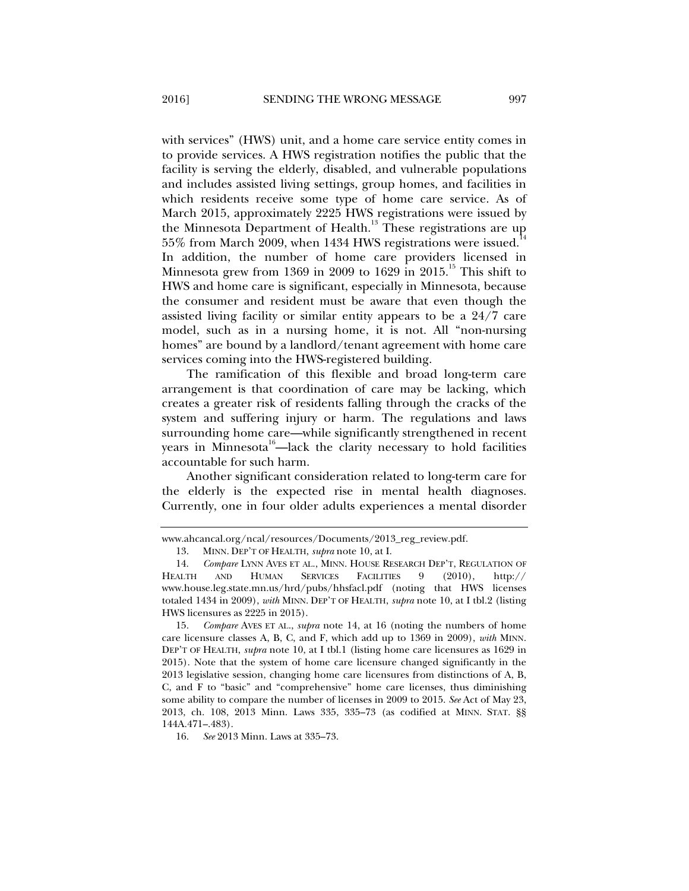with services" (HWS) unit, and a home care service entity comes in to provide services. A HWS registration notifies the public that the facility is serving the elderly, disabled, and vulnerable populations and includes assisted living settings, group homes, and facilities in which residents receive some type of home care service. As of March 2015, approximately 2225 HWS registrations were issued by the Minnesota Department of Health.<sup>13</sup> These registrations are up  $55\%$  from March 2009, when 1434 HWS registrations were issued.<sup>1</sup> In addition, the number of home care providers licensed in Minnesota grew from 1369 in 2009 to 1629 in 2015.<sup>15</sup> This shift to HWS and home care is significant, especially in Minnesota, because the consumer and resident must be aware that even though the assisted living facility or similar entity appears to be a 24/7 care model, such as in a nursing home, it is not. All "non-nursing homes" are bound by a landlord/tenant agreement with home care services coming into the HWS-registered building.

The ramification of this flexible and broad long-term care arrangement is that coordination of care may be lacking, which creates a greater risk of residents falling through the cracks of the system and suffering injury or harm. The regulations and laws surrounding home care—while significantly strengthened in recent years in Minnesota<sup>16</sup>—lack the clarity necessary to hold facilities accountable for such harm.

Another significant consideration related to long-term care for the elderly is the expected rise in mental health diagnoses. Currently, one in four older adults experiences a mental disorder

16. *See* 2013 Minn. Laws at 335–73.

www.ahcancal.org/ncal/resources/Documents/2013\_reg\_review.pdf.

 <sup>13.</sup> MINN. DEP'T OF HEALTH, *supra* note 10, at I.

 <sup>14.</sup> *Compare* LYNN AVES ET AL., MINN. HOUSE RESEARCH DEP'T, REGULATION OF HEALTH AND HUMAN SERVICES FACILITIES 9 (2010), http:// www.house.leg.state.mn.us/hrd/pubs/hhsfacl.pdf (noting that HWS licenses totaled 1434 in 2009), *with* MINN. DEP'T OF HEALTH, *supra* note 10, at I tbl.2 (listing HWS licensures as 2225 in 2015).

 <sup>15.</sup> *Compare* AVES ET AL., *supra* note 14, at 16 (noting the numbers of home care licensure classes A, B, C, and F, which add up to 1369 in 2009), *with* MINN. DEP'T OF HEALTH, *supra* note 10, at I tbl.1 (listing home care licensures as 1629 in 2015). Note that the system of home care licensure changed significantly in the 2013 legislative session, changing home care licensures from distinctions of A, B, C, and F to "basic" and "comprehensive" home care licenses, thus diminishing some ability to compare the number of licenses in 2009 to 2015. *See* Act of May 23, 2013, ch. 108, 2013 Minn. Laws 335, 335–73 (as codified at MINN. STAT. §§ 144A.471–.483).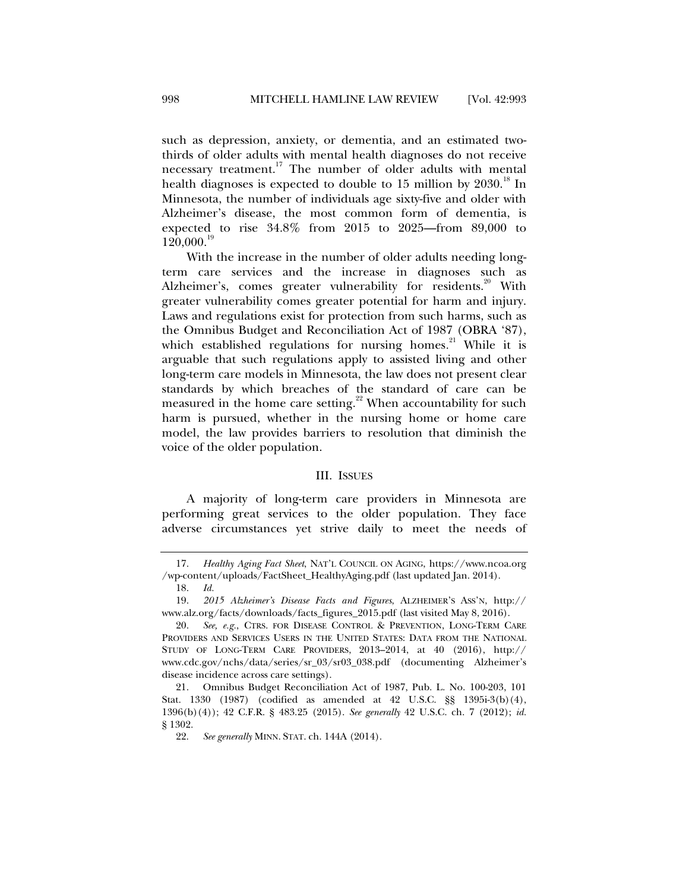such as depression, anxiety, or dementia, and an estimated twothirds of older adults with mental health diagnoses do not receive necessary treatment.<sup>17</sup> The number of older adults with mental health diagnoses is expected to double to  $15$  million by  $2030$ .<sup>18</sup> In Minnesota, the number of individuals age sixty-five and older with Alzheimer's disease, the most common form of dementia, is expected to rise 34.8% from 2015 to 2025—from 89,000 to  $120,000.<sup>19</sup>$ 

With the increase in the number of older adults needing longterm care services and the increase in diagnoses such as Alzheimer's, comes greater vulnerability for residents.<sup>20</sup> With greater vulnerability comes greater potential for harm and injury. Laws and regulations exist for protection from such harms, such as the Omnibus Budget and Reconciliation Act of 1987 (OBRA '87), which established regulations for nursing homes*.* <sup>21</sup> While it is arguable that such regulations apply to assisted living and other long-term care models in Minnesota, the law does not present clear standards by which breaches of the standard of care can be measured in the home care setting.<sup>22</sup> When accountability for such harm is pursued, whether in the nursing home or home care model, the law provides barriers to resolution that diminish the voice of the older population.

#### III. ISSUES

A majority of long-term care providers in Minnesota are performing great services to the older population. They face adverse circumstances yet strive daily to meet the needs of

 <sup>17.</sup> *Healthy Aging Fact Sheet*, NAT'L COUNCIL ON AGING, https://www.ncoa.org /wp-content/uploads/FactSheet\_HealthyAging.pdf (last updated Jan. 2014).

 <sup>18.</sup> *Id.* 

 <sup>19.</sup> *2015 Alzheimer's Disease Facts and Figures*, ALZHEIMER'S ASS'N, http:// www.alz.org/facts/downloads/facts\_figures\_2015.pdf (last visited May 8, 2016).

 <sup>20.</sup> *See, e.g.*, CTRS. FOR DISEASE CONTROL & PREVENTION, LONG-TERM CARE PROVIDERS AND SERVICES USERS IN THE UNITED STATES: DATA FROM THE NATIONAL STUDY OF LONG-TERM CARE PROVIDERS, 2013–2014, at 40 (2016), http:// www.cdc.gov/nchs/data/series/sr\_03/sr03\_038.pdf (documenting Alzheimer's disease incidence across care settings).

 <sup>21.</sup> Omnibus Budget Reconciliation Act of 1987, Pub. L. No. 100-203, 101 Stat. 1330 (1987) (codified as amended at 42 U.S.C. §§ 1395i-3(b)(4), 1396(b)(4)); 42 C.F.R. § 483.25 (2015). *See generally* 42 U.S.C. ch. 7 (2012); *id.* § 1302.

 <sup>22.</sup> *See generally* MINN. STAT. ch. 144A (2014).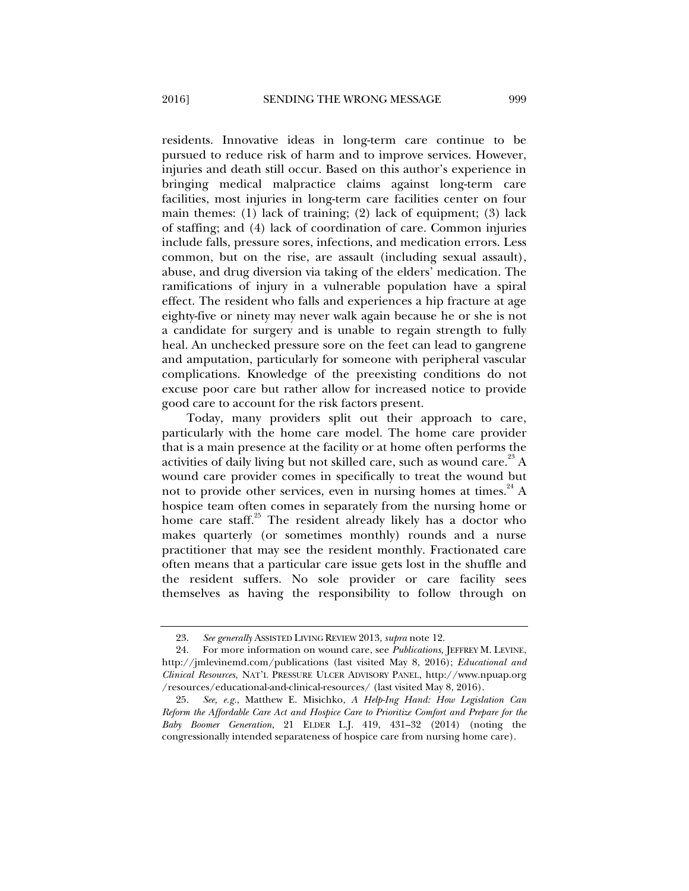residents. Innovative ideas in long-term care continue to be pursued to reduce risk of harm and to improve services. However, injuries and death still occur. Based on this author's experience in bringing medical malpractice claims against long-term care facilities, most injuries in long-term care facilities center on four main themes: (1) lack of training; (2) lack of equipment; (3) lack of staffing; and (4) lack of coordination of care. Common injuries include falls, pressure sores, infections, and medication errors. Less common, but on the rise, are assault (including sexual assault), abuse, and drug diversion via taking of the elders' medication. The ramifications of injury in a vulnerable population have a spiral effect. The resident who falls and experiences a hip fracture at age eighty-five or ninety may never walk again because he or she is not a candidate for surgery and is unable to regain strength to fully heal. An unchecked pressure sore on the feet can lead to gangrene and amputation, particularly for someone with peripheral vascular complications. Knowledge of the preexisting conditions do not excuse poor care but rather allow for increased notice to provide good care to account for the risk factors present.

Today, many providers split out their approach to care, particularly with the home care model. The home care provider that is a main presence at the facility or at home often performs the activities of daily living but not skilled care, such as wound care.<sup>23</sup> A wound care provider comes in specifically to treat the wound but not to provide other services, even in nursing homes at times.  $24 A$ hospice team often comes in separately from the nursing home or home care staff.<sup>25</sup> The resident already likely has a doctor who makes quarterly (or sometimes monthly) rounds and a nurse practitioner that may see the resident monthly. Fractionated care often means that a particular care issue gets lost in the shuffle and the resident suffers. No sole provider or care facility sees themselves as having the responsibility to follow through on

 <sup>23.</sup> *See generally* ASSISTED LIVING REVIEW 2013, *supra* note 12.

 <sup>24.</sup> For more information on wound care, see *Publications,* JEFFREY M. LEVINE, http://jmlevinemd.com/publications (last visited May 8, 2016); *Educational and Clinical Resources*, NAT'L PRESSURE ULCER ADVISORY PANEL, http://www.npuap.org /resources/educational-and-clinical-resources/ (last visited May 8, 2016).

 <sup>25.</sup> *See, e.g.*, Matthew E. Misichko, *A Help-Ing Hand: How Legislation Can Reform the Affordable Care Act and Hospice Care to Prioritize Comfort and Prepare for the Baby Boomer Generation*, 21 ELDER L.J. 419, 431–32 (2014) (noting the congressionally intended separateness of hospice care from nursing home care).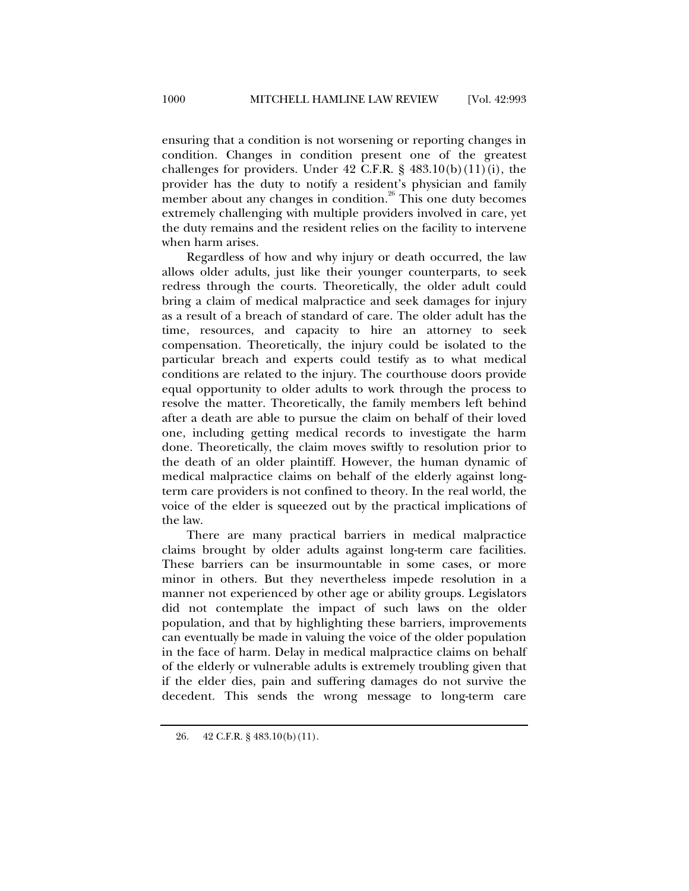ensuring that a condition is not worsening or reporting changes in condition. Changes in condition present one of the greatest challenges for providers. Under  $42$  C.F.R. §  $483.10(b)(11)(i)$ , the provider has the duty to notify a resident's physician and family member about any changes in condition.<sup>26</sup> This one duty becomes extremely challenging with multiple providers involved in care, yet the duty remains and the resident relies on the facility to intervene when harm arises.

Regardless of how and why injury or death occurred, the law allows older adults, just like their younger counterparts, to seek redress through the courts. Theoretically, the older adult could bring a claim of medical malpractice and seek damages for injury as a result of a breach of standard of care. The older adult has the time, resources, and capacity to hire an attorney to seek compensation. Theoretically, the injury could be isolated to the particular breach and experts could testify as to what medical conditions are related to the injury. The courthouse doors provide equal opportunity to older adults to work through the process to resolve the matter. Theoretically, the family members left behind after a death are able to pursue the claim on behalf of their loved one, including getting medical records to investigate the harm done. Theoretically, the claim moves swiftly to resolution prior to the death of an older plaintiff. However, the human dynamic of medical malpractice claims on behalf of the elderly against longterm care providers is not confined to theory. In the real world, the voice of the elder is squeezed out by the practical implications of the law.

There are many practical barriers in medical malpractice claims brought by older adults against long-term care facilities. These barriers can be insurmountable in some cases, or more minor in others. But they nevertheless impede resolution in a manner not experienced by other age or ability groups. Legislators did not contemplate the impact of such laws on the older population, and that by highlighting these barriers, improvements can eventually be made in valuing the voice of the older population in the face of harm. Delay in medical malpractice claims on behalf of the elderly or vulnerable adults is extremely troubling given that if the elder dies, pain and suffering damages do not survive the decedent. This sends the wrong message to long-term care

 <sup>26. 42</sup> C.F.R. § 483.10(b)(11).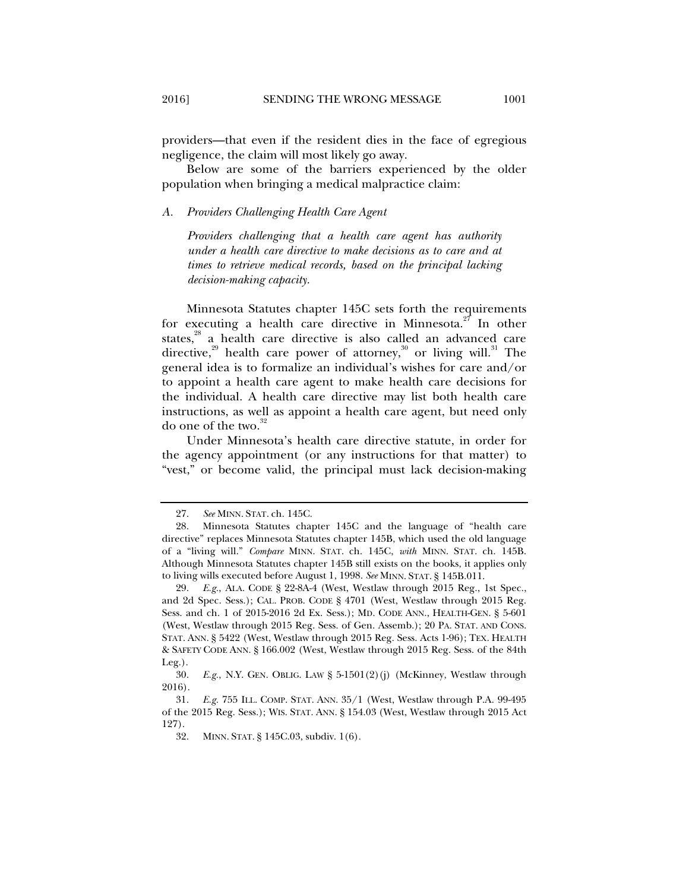providers—that even if the resident dies in the face of egregious negligence, the claim will most likely go away.

Below are some of the barriers experienced by the older population when bringing a medical malpractice claim:

#### *A. Providers Challenging Health Care Agent*

*Providers challenging that a health care agent has authority under a health care directive to make decisions as to care and at times to retrieve medical records, based on the principal lacking decision-making capacity.* 

Minnesota Statutes chapter 145C sets forth the requirements for executing a health care directive in Minnesota.<sup>27</sup> In other states,<sup>28</sup> a health care directive is also called an advanced care directive,<sup>29</sup> health care power of attorney,<sup>30</sup> or living will.<sup>31</sup> The general idea is to formalize an individual's wishes for care and/or to appoint a health care agent to make health care decisions for the individual. A health care directive may list both health care instructions, as well as appoint a health care agent, but need only do one of the two. $32$ 

Under Minnesota's health care directive statute, in order for the agency appointment (or any instructions for that matter) to "vest," or become valid, the principal must lack decision-making

 <sup>27.</sup> *See* MINN. STAT. ch. 145C.

 <sup>28.</sup> Minnesota Statutes chapter 145C and the language of "health care directive" replaces Minnesota Statutes chapter 145B, which used the old language of a "living will." *Compare* MINN. STAT. ch. 145C, *with* MINN. STAT. ch. 145B. Although Minnesota Statutes chapter 145B still exists on the books, it applies only to living wills executed before August 1, 1998. *See* MINN. STAT. § 145B.011.

 <sup>29.</sup> *E.g.*, ALA. CODE § 22-8A-4 (West, Westlaw through 2015 Reg., 1st Spec., and 2d Spec. Sess.); CAL. PROB. CODE § 4701 (West, Westlaw through 2015 Reg. Sess. and ch. 1 of 2015-2016 2d Ex. Sess.); MD. CODE ANN., HEALTH-GEN. § 5-601 (West, Westlaw through 2015 Reg. Sess. of Gen. Assemb.); 20 PA. STAT. AND CONS. STAT. ANN. § 5422 (West, Westlaw through 2015 Reg. Sess. Acts 1-96); TEX. HEALTH & SAFETY CODE ANN. § 166.002 (West, Westlaw through 2015 Reg. Sess. of the 84th Leg.).

 <sup>30.</sup> *E.g.*, N.Y. GEN. OBLIG. LAW § 5-1501(2)(j) (McKinney, Westlaw through 2016).

 <sup>31.</sup> *E.g.* 755 ILL. COMP. STAT. ANN. 35/1 (West, Westlaw through P.A. 99-495 of the 2015 Reg. Sess.); WIS. STAT. ANN. § 154.03 (West, Westlaw through 2015 Act 127).

 <sup>32.</sup> MINN. STAT. § 145C.03, subdiv. 1(6).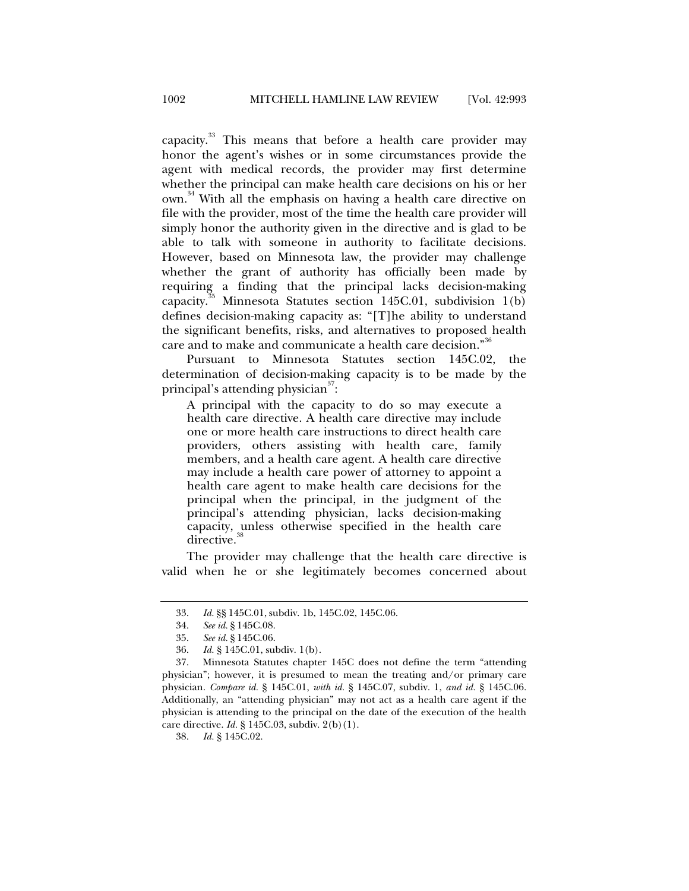capacity.<sup>33</sup> This means that before a health care provider may honor the agent's wishes or in some circumstances provide the agent with medical records, the provider may first determine whether the principal can make health care decisions on his or her own.34 With all the emphasis on having a health care directive on file with the provider, most of the time the health care provider will simply honor the authority given in the directive and is glad to be able to talk with someone in authority to facilitate decisions. However, based on Minnesota law, the provider may challenge whether the grant of authority has officially been made by requiring a finding that the principal lacks decision-making capacity.<sup>35</sup> Minnesota Statutes section 145C.01, subdivision 1(b) defines decision-making capacity as: "[T]he ability to understand the significant benefits, risks, and alternatives to proposed health care and to make and communicate a health care decision."<sup>30</sup>

Pursuant to Minnesota Statutes section 145C.02, the determination of decision-making capacity is to be made by the principal's attending physician $^{37}{:}$ 

A principal with the capacity to do so may execute a health care directive. A health care directive may include one or more health care instructions to direct health care providers, others assisting with health care, family members, and a health care agent. A health care directive may include a health care power of attorney to appoint a health care agent to make health care decisions for the principal when the principal, in the judgment of the principal's attending physician, lacks decision-making capacity, unless otherwise specified in the health care directive.

The provider may challenge that the health care directive is valid when he or she legitimately becomes concerned about

38. *Id.* § 145C.02.

 <sup>33.</sup> *Id.* §§ 145C.01, subdiv. 1b, 145C.02, 145C.06.

 <sup>34.</sup> *See id.* § 145C.08.

 <sup>35.</sup> *See id.* § 145C.06.

 <sup>36.</sup> *Id.* § 145C.01, subdiv. 1(b).

 <sup>37.</sup> Minnesota Statutes chapter 145C does not define the term "attending physician"; however, it is presumed to mean the treating and/or primary care physician. *Compare id.* § 145C.01, *with id.* § 145C.07, subdiv. 1, *and id.* § 145C.06. Additionally, an "attending physician" may not act as a health care agent if the physician is attending to the principal on the date of the execution of the health care directive. *Id.* § 145C.03, subdiv. 2(b)(1).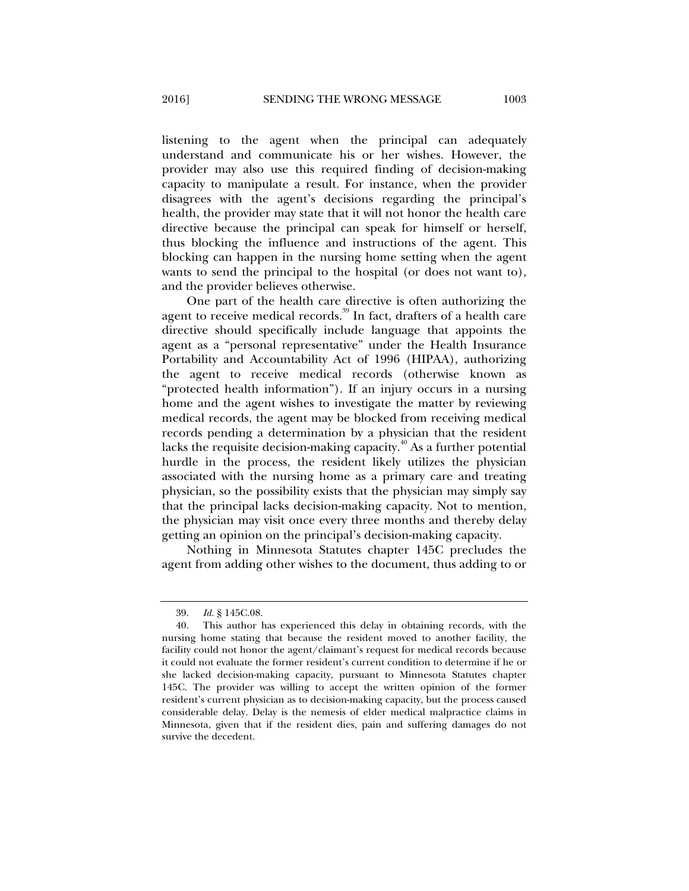listening to the agent when the principal can adequately understand and communicate his or her wishes. However, the provider may also use this required finding of decision-making capacity to manipulate a result. For instance, when the provider disagrees with the agent's decisions regarding the principal's health, the provider may state that it will not honor the health care directive because the principal can speak for himself or herself, thus blocking the influence and instructions of the agent. This blocking can happen in the nursing home setting when the agent wants to send the principal to the hospital (or does not want to), and the provider believes otherwise.

One part of the health care directive is often authorizing the agent to receive medical records.<sup>39</sup> In fact, drafters of a health care directive should specifically include language that appoints the agent as a "personal representative" under the Health Insurance Portability and Accountability Act of 1996 (HIPAA), authorizing the agent to receive medical records (otherwise known as "protected health information"). If an injury occurs in a nursing home and the agent wishes to investigate the matter by reviewing medical records, the agent may be blocked from receiving medical records pending a determination by a physician that the resident lacks the requisite decision-making capacity.<sup> $40$ </sup> As a further potential hurdle in the process, the resident likely utilizes the physician associated with the nursing home as a primary care and treating physician, so the possibility exists that the physician may simply say that the principal lacks decision-making capacity. Not to mention, the physician may visit once every three months and thereby delay getting an opinion on the principal's decision-making capacity.

Nothing in Minnesota Statutes chapter 145C precludes the agent from adding other wishes to the document, thus adding to or

 <sup>39.</sup> *Id.* § 145C.08.

 <sup>40.</sup> This author has experienced this delay in obtaining records, with the nursing home stating that because the resident moved to another facility, the facility could not honor the agent/claimant's request for medical records because it could not evaluate the former resident's current condition to determine if he or she lacked decision-making capacity, pursuant to Minnesota Statutes chapter 145C. The provider was willing to accept the written opinion of the former resident's current physician as to decision-making capacity, but the process caused considerable delay. Delay is the nemesis of elder medical malpractice claims in Minnesota, given that if the resident dies, pain and suffering damages do not survive the decedent.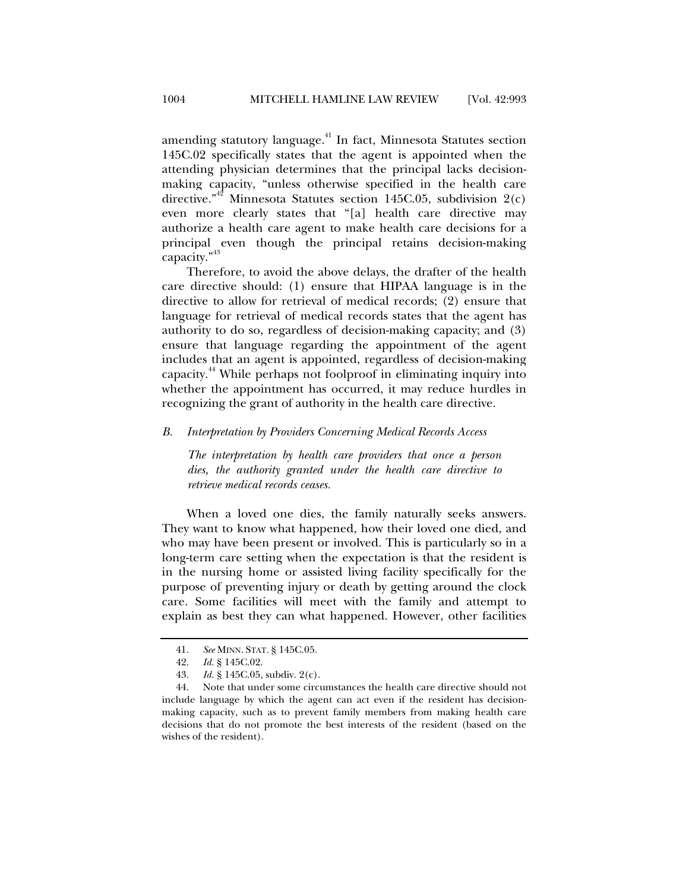amending statutory language.<sup>41</sup> In fact, Minnesota Statutes section 145C.02 specifically states that the agent is appointed when the attending physician determines that the principal lacks decisionmaking capacity, "unless otherwise specified in the health care directive."<sup>42</sup> Minnesota Statutes section 145C.05, subdivision 2(c) even more clearly states that "[a] health care directive may authorize a health care agent to make health care decisions for a principal even though the principal retains decision-making capacity."<sup>43</sup>

Therefore, to avoid the above delays, the drafter of the health care directive should: (1) ensure that HIPAA language is in the directive to allow for retrieval of medical records; (2) ensure that language for retrieval of medical records states that the agent has authority to do so, regardless of decision-making capacity; and (3) ensure that language regarding the appointment of the agent includes that an agent is appointed, regardless of decision-making capacity.44 While perhaps not foolproof in eliminating inquiry into whether the appointment has occurred, it may reduce hurdles in recognizing the grant of authority in the health care directive.

#### *B. Interpretation by Providers Concerning Medical Records Access*

*The interpretation by health care providers that once a person dies, the authority granted under the health care directive to retrieve medical records ceases.* 

When a loved one dies, the family naturally seeks answers. They want to know what happened, how their loved one died, and who may have been present or involved. This is particularly so in a long-term care setting when the expectation is that the resident is in the nursing home or assisted living facility specifically for the purpose of preventing injury or death by getting around the clock care. Some facilities will meet with the family and attempt to explain as best they can what happened. However, other facilities

 <sup>41.</sup> *See* MINN. STAT. § 145C.05.

<sup>42.</sup> *Id.* § 145C.02.<br>43. *Id.* § 145C.05.

*Id.* § 145C.05, subdiv. 2(c).

 <sup>44.</sup> Note that under some circumstances the health care directive should not include language by which the agent can act even if the resident has decisionmaking capacity, such as to prevent family members from making health care decisions that do not promote the best interests of the resident (based on the wishes of the resident).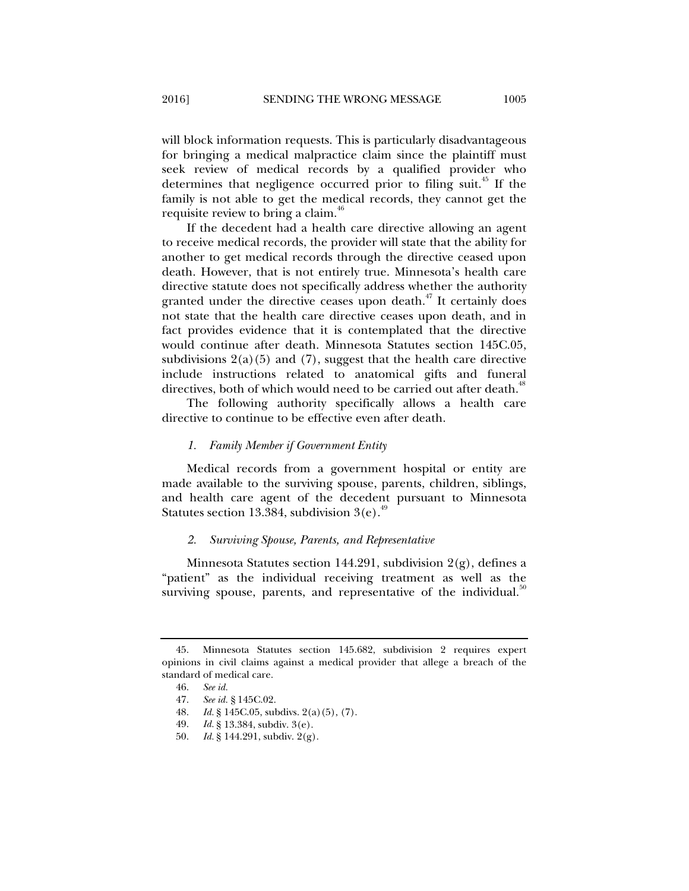will block information requests. This is particularly disadvantageous for bringing a medical malpractice claim since the plaintiff must seek review of medical records by a qualified provider who determines that negligence occurred prior to filing suit.<sup>45</sup> If the family is not able to get the medical records, they cannot get the requisite review to bring a claim.<sup>46</sup>

If the decedent had a health care directive allowing an agent to receive medical records, the provider will state that the ability for another to get medical records through the directive ceased upon death. However, that is not entirely true. Minnesota's health care directive statute does not specifically address whether the authority granted under the directive ceases upon death.<sup>47</sup> It certainly does not state that the health care directive ceases upon death, and in fact provides evidence that it is contemplated that the directive would continue after death. Minnesota Statutes section 145C.05, subdivisions  $2(a)(5)$  and  $(7)$ , suggest that the health care directive include instructions related to anatomical gifts and funeral directives, both of which would need to be carried out after death.<sup>48</sup>

The following authority specifically allows a health care directive to continue to be effective even after death.

#### *1. Family Member if Government Entity*

Medical records from a government hospital or entity are made available to the surviving spouse, parents, children, siblings, and health care agent of the decedent pursuant to Minnesota Statutes section 13.384, subdivision  $3(e)$ .<sup>49</sup>

#### *2. Surviving Spouse, Parents, and Representative*

Minnesota Statutes section 144.291, subdivision 2(g), defines a "patient" as the individual receiving treatment as well as the surviving spouse, parents, and representative of the individual.<sup>50</sup>

 <sup>45.</sup> Minnesota Statutes section 145.682, subdivision 2 requires expert opinions in civil claims against a medical provider that allege a breach of the standard of medical care.

 <sup>46.</sup> *See id.*

 <sup>47.</sup> *See id.* § 145C.02.

<sup>48.</sup> *Id.* § 145C.05, subdivs. 2(a)(5), (7).<br>49. *Id.* § 13.384, subdiv. 3(e).

*Id.* § 13.384, subdiv. 3(e).

 <sup>50.</sup> *Id.* § 144.291, subdiv. 2(g).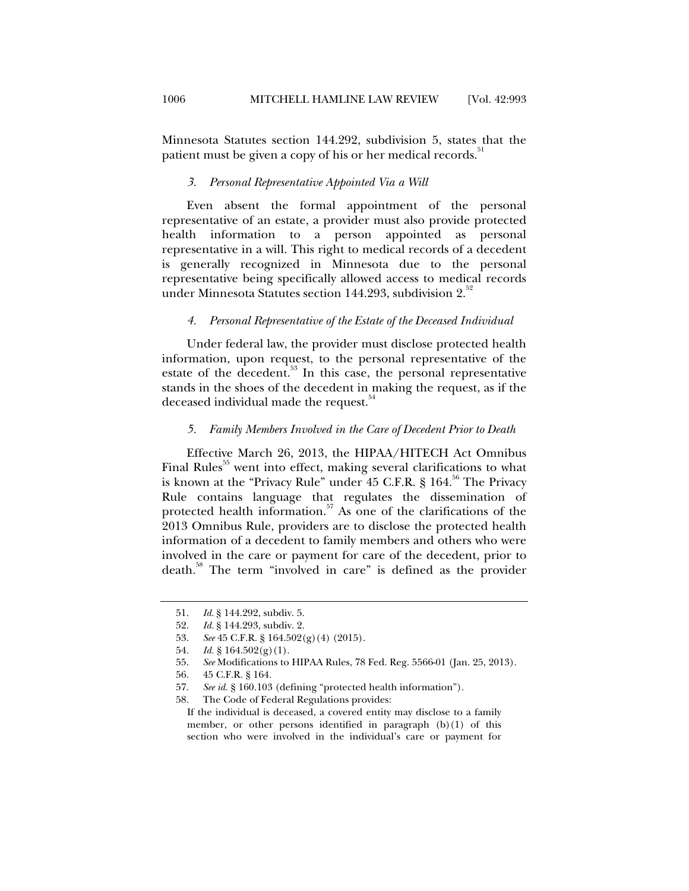Minnesota Statutes section 144.292, subdivision 5, states that the patient must be given a copy of his or her medical records.<sup>5</sup>

#### *3. Personal Representative Appointed Via a Will*

Even absent the formal appointment of the personal representative of an estate, a provider must also provide protected health information to a person appointed as personal representative in a will. This right to medical records of a decedent is generally recognized in Minnesota due to the personal representative being specifically allowed access to medical records under Minnesota Statutes section 144.293, subdivision  $2^{32}$ 

#### *4. Personal Representative of the Estate of the Deceased Individual*

Under federal law, the provider must disclose protected health information, upon request, to the personal representative of the estate of the decedent.<sup>53</sup> In this case, the personal representative stands in the shoes of the decedent in making the request, as if the deceased individual made the request.<sup>54</sup>

#### *5. Family Members Involved in the Care of Decedent Prior to Death*

Effective March 26, 2013, the HIPAA/HITECH Act Omnibus Final Rules<sup>55</sup> went into effect, making several clarifications to what is known at the "Privacy Rule" under  $45$  C.F.R. § 164.<sup>56</sup> The Privacy Rule contains language that regulates the dissemination of protected health information. $57$  As one of the clarifications of the 2013 Omnibus Rule, providers are to disclose the protected health information of a decedent to family members and others who were involved in the care or payment for care of the decedent, prior to death.58 The term "involved in care" is defined as the provider

 <sup>51.</sup> *Id.* § 144.292, subdiv. 5.

 <sup>52.</sup> *Id.* § 144.293, subdiv. 2.

 <sup>53.</sup> *See* 45 C.F.R. § 164.502(g)(4) (2015).

<sup>54.</sup> *Id.* § 164.502(g)(1).

 <sup>55.</sup> *See* Modifications to HIPAA Rules, 78 Fed. Reg. 5566-01 (Jan. 25, 2013).

 <sup>56. 45</sup> C.F.R. § 164.

 <sup>57.</sup> *See id.* § 160.103 (defining "protected health information").

 <sup>58.</sup> The Code of Federal Regulations provides:

If the individual is deceased, a covered entity may disclose to a family member, or other persons identified in paragraph (b)(1) of this section who were involved in the individual's care or payment for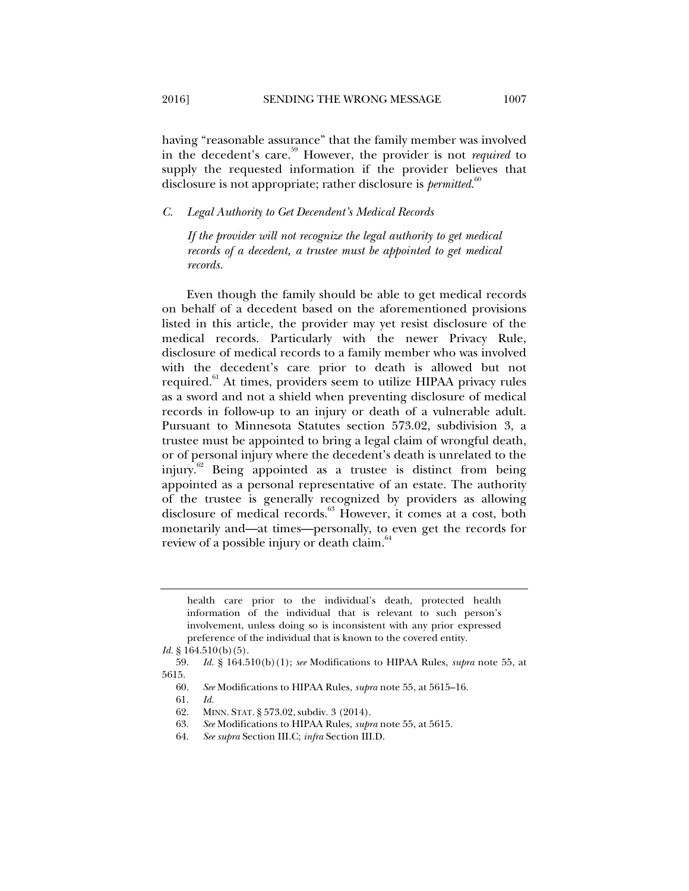having "reasonable assurance" that the family member was involved in the decedent's care.59 However, the provider is not *required* to supply the requested information if the provider believes that disclosure is not appropriate; rather disclosure is *permitted*. 60

*C. Legal Authority to Get Decendent's Medical Records* 

*If the provider will not recognize the legal authority to get medical records of a decedent, a trustee must be appointed to get medical records.* 

Even though the family should be able to get medical records on behalf of a decedent based on the aforementioned provisions listed in this article, the provider may yet resist disclosure of the medical records. Particularly with the newer Privacy Rule, disclosure of medical records to a family member who was involved with the decedent's care prior to death is allowed but not required.<sup>61</sup> At times, providers seem to utilize HIPAA privacy rules as a sword and not a shield when preventing disclosure of medical records in follow-up to an injury or death of a vulnerable adult. Pursuant to Minnesota Statutes section 573.02, subdivision 3, a trustee must be appointed to bring a legal claim of wrongful death, or of personal injury where the decedent's death is unrelated to the injury. $62$  Being appointed as a trustee is distinct from being appointed as a personal representative of an estate. The authority of the trustee is generally recognized by providers as allowing disclosure of medical records.<sup>63</sup> However, it comes at a cost, both monetarily and—at times—personally, to even get the records for review of a possible injury or death claim.<sup>64</sup>

60. *See* Modifications to HIPAA Rules, *supra* note 55, at 5615–16.

- 63. *See* Modifications to HIPAA Rules, *supra* note 55, at 5615.
- 64. *See supra* Section III.C; *infra* Section III.D.

health care prior to the individual's death, protected health information of the individual that is relevant to such person's involvement, unless doing so is inconsistent with any prior expressed preference of the individual that is known to the covered entity.

*Id.* § 164.510(b)(5).

 <sup>59.</sup> *Id.* § 164.510(b)(1); *see* Modifications to HIPAA Rules, *supra* note 55, at 5615.

 <sup>61.</sup> *Id.*

 <sup>62.</sup> MINN. STAT. § 573.02, subdiv. 3 (2014).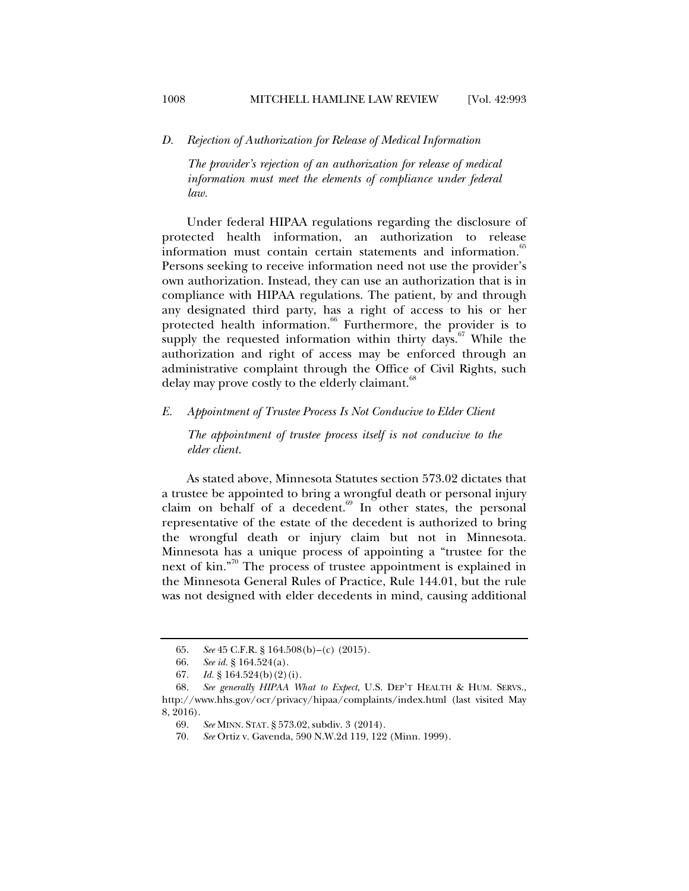*D. Rejection of Authorization for Release of Medical Information* 

*The provider's rejection of an authorization for release of medical information must meet the elements of compliance under federal law.* 

Under federal HIPAA regulations regarding the disclosure of protected health information, an authorization to release information must contain certain statements and information.<sup>65</sup> Persons seeking to receive information need not use the provider's own authorization. Instead, they can use an authorization that is in compliance with HIPAA regulations. The patient, by and through any designated third party, has a right of access to his or her protected health information.<sup>66</sup> Furthermore, the provider is to supply the requested information within thirty days.<sup>67</sup> While the authorization and right of access may be enforced through an administrative complaint through the Office of Civil Rights, such delay may prove costly to the elderly claimant.<sup>68</sup>

#### *E. Appointment of Trustee Process Is Not Conducive to Elder Client*

*The appointment of trustee process itself is not conducive to the elder client.* 

As stated above, Minnesota Statutes section 573.02 dictates that a trustee be appointed to bring a wrongful death or personal injury claim on behalf of a decedent.<sup>69</sup> In other states, the personal representative of the estate of the decedent is authorized to bring the wrongful death or injury claim but not in Minnesota. Minnesota has a unique process of appointing a "trustee for the next of kin."70 The process of trustee appointment is explained in the Minnesota General Rules of Practice, Rule 144.01, but the rule was not designed with elder decedents in mind, causing additional

 <sup>65.</sup> *See* 45 C.F.R. § 164.508(b)–(c) (2015).

 <sup>66.</sup> *See id.* § 164.524(a).

 <sup>67.</sup> *Id.* § 164.524(b)(2)(i).

 <sup>68.</sup> *See generally HIPAA What to Expect*, U.S. DEP'T HEALTH & HUM. SERVS., http://www.hhs.gov/ocr/privacy/hipaa/complaints/index.html (last visited May 8, 2016).

 <sup>69.</sup> *See* MINN. STAT. § 573.02, subdiv. 3 (2014).

 <sup>70.</sup> *See* Ortiz v. Gavenda, 590 N.W.2d 119, 122 (Minn. 1999).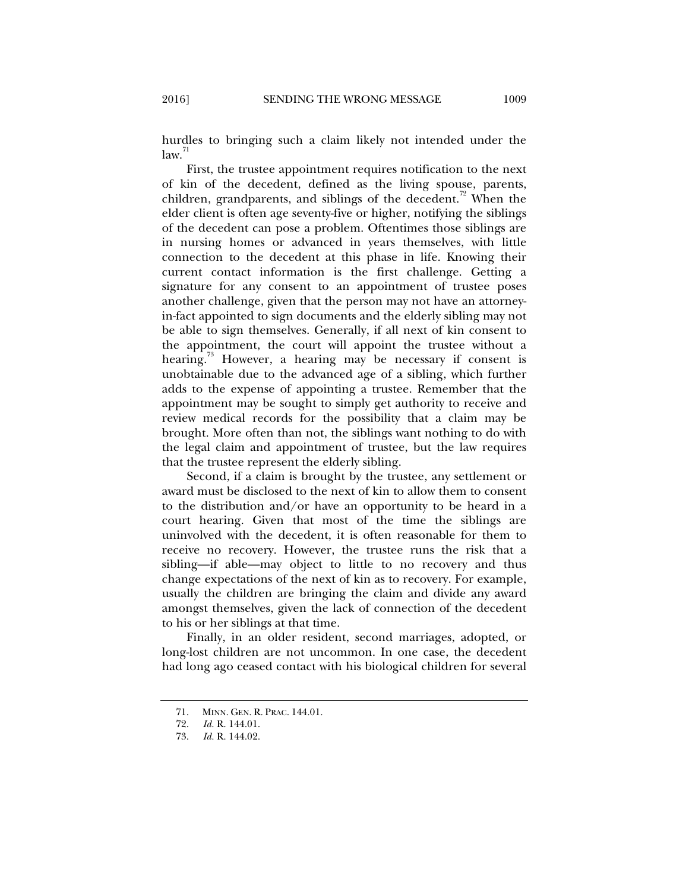hurdles to bringing such a claim likely not intended under the  $law.<sup>71</sup>$ 

First, the trustee appointment requires notification to the next of kin of the decedent, defined as the living spouse, parents, children, grandparents, and siblings of the decedent.<sup>72</sup> When the elder client is often age seventy-five or higher, notifying the siblings of the decedent can pose a problem. Oftentimes those siblings are in nursing homes or advanced in years themselves, with little connection to the decedent at this phase in life. Knowing their current contact information is the first challenge. Getting a signature for any consent to an appointment of trustee poses another challenge, given that the person may not have an attorneyin-fact appointed to sign documents and the elderly sibling may not be able to sign themselves. Generally, if all next of kin consent to the appointment, the court will appoint the trustee without a hearing.<sup>73</sup> However, a hearing may be necessary if consent is unobtainable due to the advanced age of a sibling, which further adds to the expense of appointing a trustee. Remember that the appointment may be sought to simply get authority to receive and review medical records for the possibility that a claim may be brought. More often than not, the siblings want nothing to do with the legal claim and appointment of trustee, but the law requires that the trustee represent the elderly sibling.

Second, if a claim is brought by the trustee, any settlement or award must be disclosed to the next of kin to allow them to consent to the distribution and/or have an opportunity to be heard in a court hearing. Given that most of the time the siblings are uninvolved with the decedent, it is often reasonable for them to receive no recovery. However, the trustee runs the risk that a sibling—if able—may object to little to no recovery and thus change expectations of the next of kin as to recovery. For example, usually the children are bringing the claim and divide any award amongst themselves, given the lack of connection of the decedent to his or her siblings at that time.

Finally, in an older resident, second marriages, adopted, or long-lost children are not uncommon. In one case, the decedent had long ago ceased contact with his biological children for several

 <sup>71.</sup> MINN. GEN. R. PRAC. 144.01.

 <sup>72.</sup> *Id.* R. 144.01.

 <sup>73.</sup> *Id.* R. 144.02.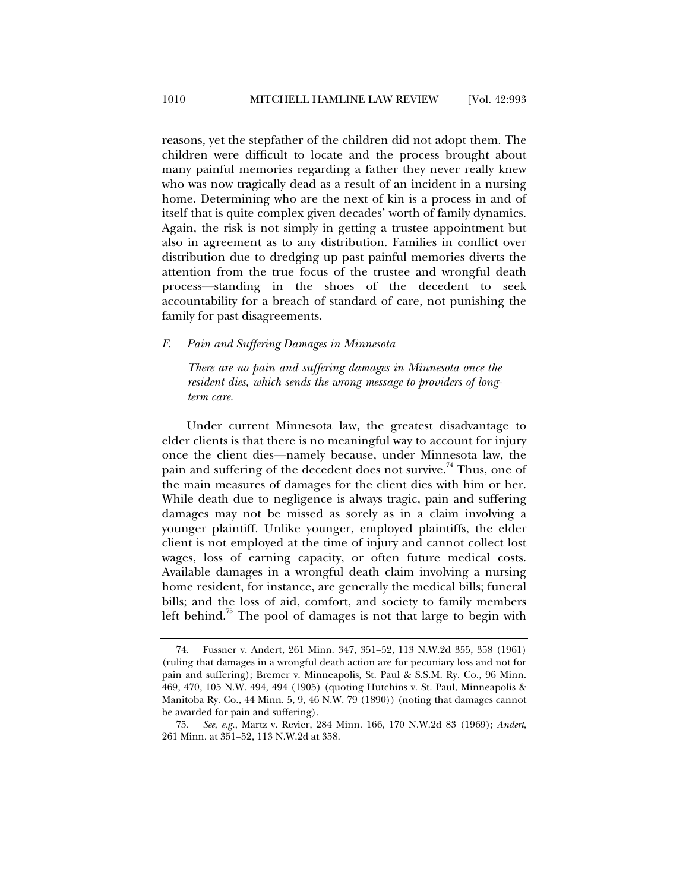reasons, yet the stepfather of the children did not adopt them. The children were difficult to locate and the process brought about many painful memories regarding a father they never really knew who was now tragically dead as a result of an incident in a nursing home. Determining who are the next of kin is a process in and of itself that is quite complex given decades' worth of family dynamics. Again, the risk is not simply in getting a trustee appointment but also in agreement as to any distribution. Families in conflict over distribution due to dredging up past painful memories diverts the attention from the true focus of the trustee and wrongful death process—standing in the shoes of the decedent to seek accountability for a breach of standard of care, not punishing the family for past disagreements.

#### *F. Pain and Suffering Damages in Minnesota*

*There are no pain and suffering damages in Minnesota once the resident dies, which sends the wrong message to providers of longterm care.* 

Under current Minnesota law, the greatest disadvantage to elder clients is that there is no meaningful way to account for injury once the client dies—namely because, under Minnesota law, the pain and suffering of the decedent does not survive.<sup>74</sup> Thus, one of the main measures of damages for the client dies with him or her. While death due to negligence is always tragic, pain and suffering damages may not be missed as sorely as in a claim involving a younger plaintiff. Unlike younger, employed plaintiffs, the elder client is not employed at the time of injury and cannot collect lost wages, loss of earning capacity, or often future medical costs. Available damages in a wrongful death claim involving a nursing home resident, for instance, are generally the medical bills; funeral bills; and the loss of aid, comfort, and society to family members left behind.<sup>75</sup> The pool of damages is not that large to begin with

 <sup>74.</sup> Fussner v. Andert, 261 Minn. 347, 351–52, 113 N.W.2d 355, 358 (1961) (ruling that damages in a wrongful death action are for pecuniary loss and not for pain and suffering); Bremer v. Minneapolis, St. Paul & S.S.M. Ry. Co., 96 Minn. 469, 470, 105 N.W. 494, 494 (1905) (quoting Hutchins v. St. Paul, Minneapolis & Manitoba Ry. Co., 44 Minn. 5, 9, 46 N.W. 79 (1890)) (noting that damages cannot be awarded for pain and suffering).

 <sup>75.</sup> *See, e.g.*, Martz v. Revier, 284 Minn. 166, 170 N.W.2d 83 (1969); *Andert*, 261 Minn. at 351–52, 113 N.W.2d at 358.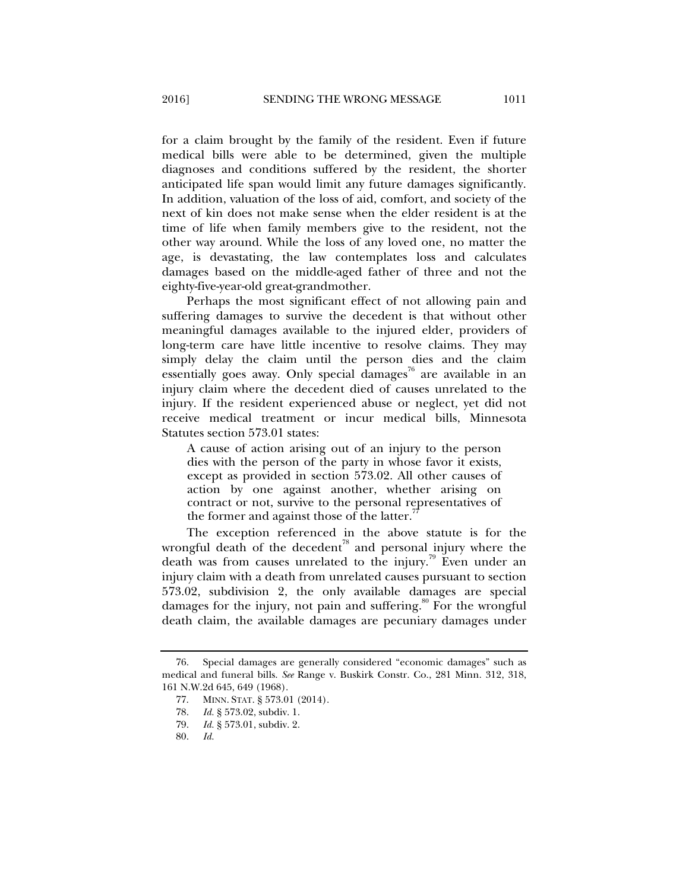for a claim brought by the family of the resident. Even if future medical bills were able to be determined, given the multiple diagnoses and conditions suffered by the resident, the shorter anticipated life span would limit any future damages significantly. In addition, valuation of the loss of aid, comfort, and society of the next of kin does not make sense when the elder resident is at the time of life when family members give to the resident, not the other way around. While the loss of any loved one, no matter the age, is devastating, the law contemplates loss and calculates damages based on the middle-aged father of three and not the eighty-five-year-old great-grandmother.

Perhaps the most significant effect of not allowing pain and suffering damages to survive the decedent is that without other meaningful damages available to the injured elder, providers of long-term care have little incentive to resolve claims. They may simply delay the claim until the person dies and the claim essentially goes away. Only special damages<sup>76</sup> are available in an injury claim where the decedent died of causes unrelated to the injury. If the resident experienced abuse or neglect, yet did not receive medical treatment or incur medical bills, Minnesota Statutes section 573.01 states:

A cause of action arising out of an injury to the person dies with the person of the party in whose favor it exists, except as provided in section 573.02. All other causes of action by one against another, whether arising on contract or not, survive to the personal representatives of the former and against those of the latter.

The exception referenced in the above statute is for the wrongful death of the decedent<sup>78</sup> and personal injury where the death was from causes unrelated to the injury.<sup> $\frac{1}{2}$ </sup> Even under an injury claim with a death from unrelated causes pursuant to section 573.02, subdivision 2, the only available damages are special damages for the injury, not pain and suffering.<sup>80</sup> For the wrongful death claim, the available damages are pecuniary damages under

 <sup>76.</sup> Special damages are generally considered "economic damages" such as medical and funeral bills. *See* Range v. Buskirk Constr. Co., 281 Minn. 312, 318, 161 N.W.2d 645, 649 (1968).

 <sup>77.</sup> MINN. STAT. § 573.01 (2014).

 <sup>78.</sup> *Id.* § 573.02, subdiv. 1.

 <sup>79.</sup> *Id.* § 573.01, subdiv. 2.

 <sup>80.</sup> *Id.*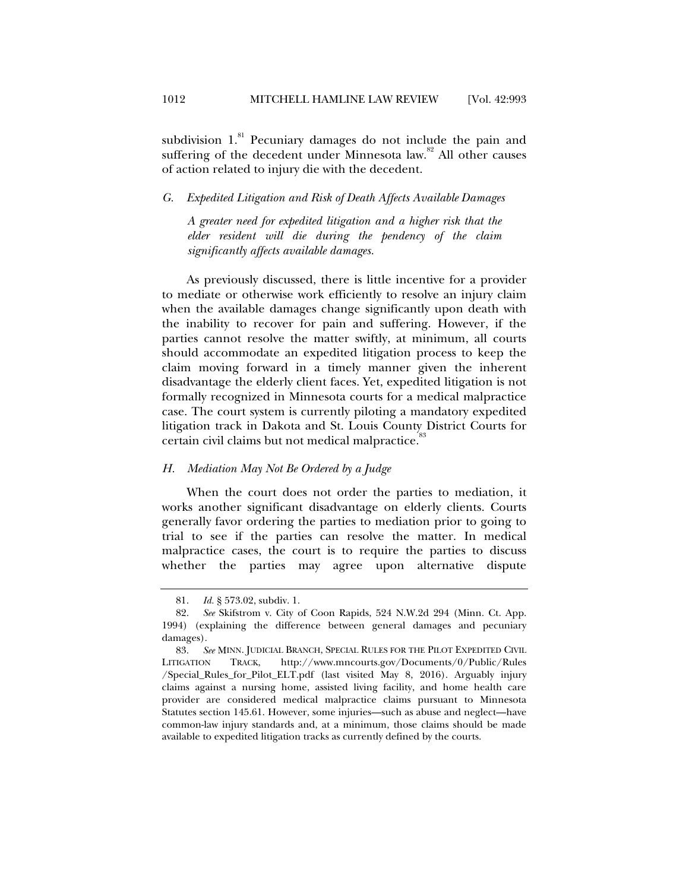subdivision  $1.^{81}$  Pecuniary damages do not include the pain and suffering of the decedent under Minnesota law.<sup>82</sup> All other causes of action related to injury die with the decedent.

*G. Expedited Litigation and Risk of Death Affects Available Damages* 

*A greater need for expedited litigation and a higher risk that the elder resident will die during the pendency of the claim significantly affects available damages.* 

As previously discussed, there is little incentive for a provider to mediate or otherwise work efficiently to resolve an injury claim when the available damages change significantly upon death with the inability to recover for pain and suffering. However, if the parties cannot resolve the matter swiftly, at minimum, all courts should accommodate an expedited litigation process to keep the claim moving forward in a timely manner given the inherent disadvantage the elderly client faces. Yet, expedited litigation is not formally recognized in Minnesota courts for a medical malpractice case. The court system is currently piloting a mandatory expedited litigation track in Dakota and St. Louis County District Courts for certain civil claims but not medical malpractice.<sup>33</sup>

#### *H. Mediation May Not Be Ordered by a Judge*

When the court does not order the parties to mediation, it works another significant disadvantage on elderly clients. Courts generally favor ordering the parties to mediation prior to going to trial to see if the parties can resolve the matter. In medical malpractice cases, the court is to require the parties to discuss whether the parties may agree upon alternative dispute

 <sup>81.</sup> *Id.* § 573.02, subdiv. 1.

 <sup>82.</sup> *See* Skifstrom v. City of Coon Rapids, 524 N.W.2d 294 (Minn. Ct. App. 1994) (explaining the difference between general damages and pecuniary damages).

 <sup>83.</sup> *See* MINN. JUDICIAL BRANCH, SPECIAL RULES FOR THE PILOT EXPEDITED CIVIL LITIGATION TRACK, http://www.mncourts.gov/Documents/0/Public/Rules /Special\_Rules\_for\_Pilot\_ELT.pdf (last visited May 8, 2016). Arguably injury claims against a nursing home, assisted living facility, and home health care provider are considered medical malpractice claims pursuant to Minnesota Statutes section 145.61. However, some injuries—such as abuse and neglect—have common-law injury standards and, at a minimum, those claims should be made available to expedited litigation tracks as currently defined by the courts.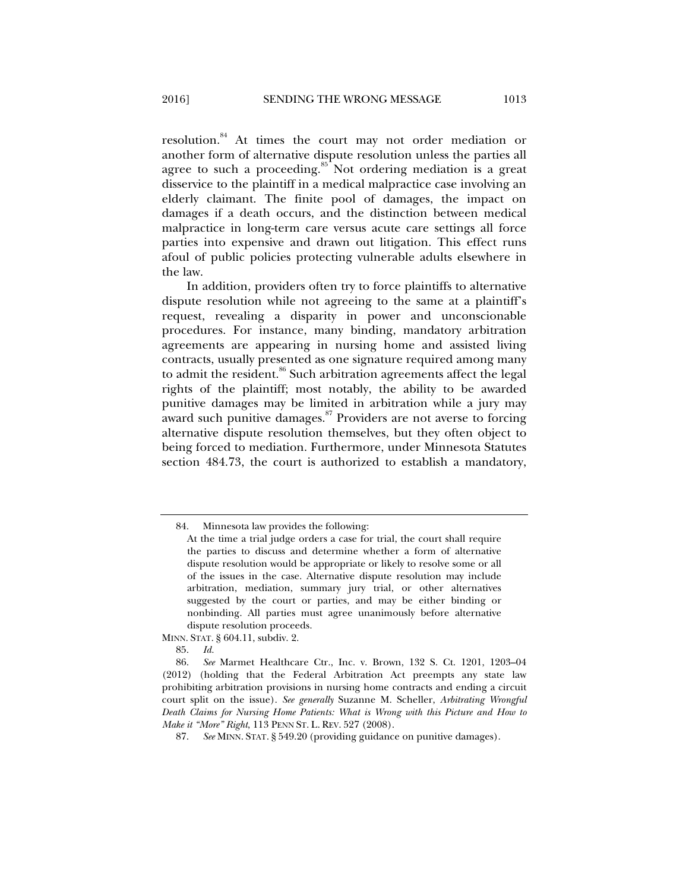resolution.84 At times the court may not order mediation or another form of alternative dispute resolution unless the parties all agree to such a proceeding. $85$  Not ordering mediation is a great disservice to the plaintiff in a medical malpractice case involving an elderly claimant. The finite pool of damages, the impact on damages if a death occurs, and the distinction between medical malpractice in long-term care versus acute care settings all force parties into expensive and drawn out litigation. This effect runs afoul of public policies protecting vulnerable adults elsewhere in the law.

In addition, providers often try to force plaintiffs to alternative dispute resolution while not agreeing to the same at a plaintiff's request, revealing a disparity in power and unconscionable procedures. For instance, many binding, mandatory arbitration agreements are appearing in nursing home and assisted living contracts, usually presented as one signature required among many to admit the resident.<sup>86</sup> Such arbitration agreements affect the legal rights of the plaintiff; most notably, the ability to be awarded punitive damages may be limited in arbitration while a jury may award such punitive damages.<sup>87</sup> Providers are not averse to forcing alternative dispute resolution themselves, but they often object to being forced to mediation. Furthermore, under Minnesota Statutes section 484.73, the court is authorized to establish a mandatory,

MINN. STAT. § 604.11, subdiv. 2.

85. *Id.*

 <sup>84.</sup> Minnesota law provides the following:

At the time a trial judge orders a case for trial, the court shall require the parties to discuss and determine whether a form of alternative dispute resolution would be appropriate or likely to resolve some or all of the issues in the case. Alternative dispute resolution may include arbitration, mediation, summary jury trial, or other alternatives suggested by the court or parties, and may be either binding or nonbinding. All parties must agree unanimously before alternative dispute resolution proceeds.

 <sup>86.</sup> *See* Marmet Healthcare Ctr., Inc. v. Brown, 132 S. Ct. 1201, 1203–04 (2012) (holding that the Federal Arbitration Act preempts any state law prohibiting arbitration provisions in nursing home contracts and ending a circuit court split on the issue). *See generally* Suzanne M. Scheller, *Arbitrating Wrongful Death Claims for Nursing Home Patients: What is Wrong with this Picture and How to Make it "More" Right*, 113 PENN ST. L. REV. 527 (2008).

 <sup>87.</sup> *See* MINN. STAT. § 549.20 (providing guidance on punitive damages).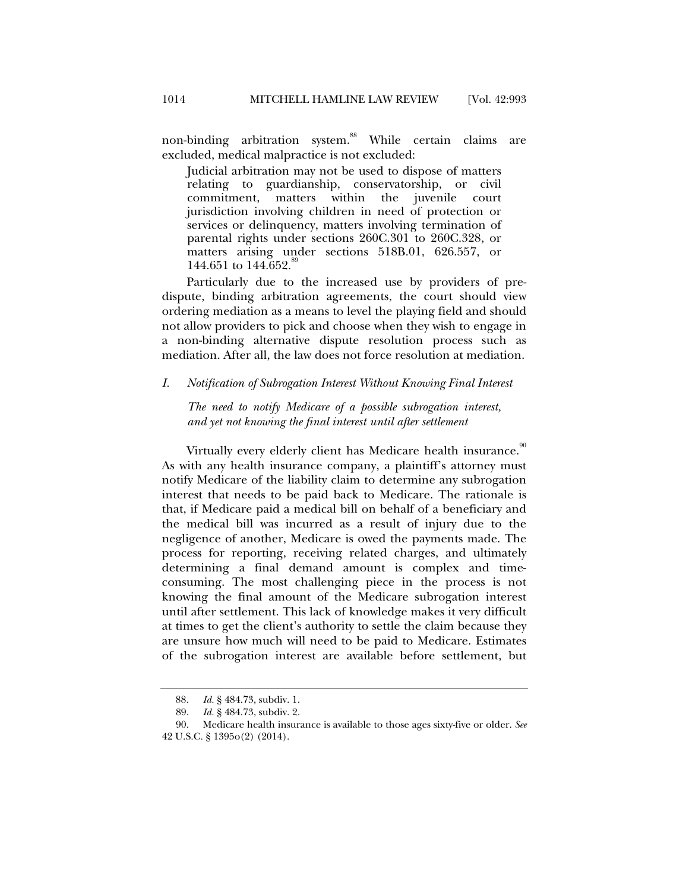non-binding arbitration system.<sup>88</sup> While certain claims are excluded, medical malpractice is not excluded:

Judicial arbitration may not be used to dispose of matters relating to guardianship, conservatorship, or civil commitment, matters within the juvenile court jurisdiction involving children in need of protection or services or delinquency, matters involving termination of parental rights under sections 260C.301 to 260C.328, or matters arising under sections 518B.01, 626.557, or 144.651 to 144.652.<sup>89</sup>

Particularly due to the increased use by providers of predispute, binding arbitration agreements, the court should view ordering mediation as a means to level the playing field and should not allow providers to pick and choose when they wish to engage in a non-binding alternative dispute resolution process such as mediation. After all, the law does not force resolution at mediation.

## *I. Notification of Subrogation Interest Without Knowing Final Interest*

*The need to notify Medicare of a possible subrogation interest, and yet not knowing the final interest until after settlement* 

Virtually every elderly client has Medicare health insurance.<sup>90</sup> As with any health insurance company, a plaintiff's attorney must notify Medicare of the liability claim to determine any subrogation interest that needs to be paid back to Medicare. The rationale is that, if Medicare paid a medical bill on behalf of a beneficiary and the medical bill was incurred as a result of injury due to the negligence of another, Medicare is owed the payments made. The process for reporting, receiving related charges, and ultimately determining a final demand amount is complex and timeconsuming. The most challenging piece in the process is not knowing the final amount of the Medicare subrogation interest until after settlement. This lack of knowledge makes it very difficult at times to get the client's authority to settle the claim because they are unsure how much will need to be paid to Medicare. Estimates of the subrogation interest are available before settlement, but

<sup>88</sup>*. Id.* § 484.73, subdiv. 1.

 <sup>89.</sup> *Id.* § 484.73, subdiv. 2.

 <sup>90.</sup> Medicare health insurance is available to those ages sixty-five or older. *See*  42 U.S.C. § 1395o(2) (2014).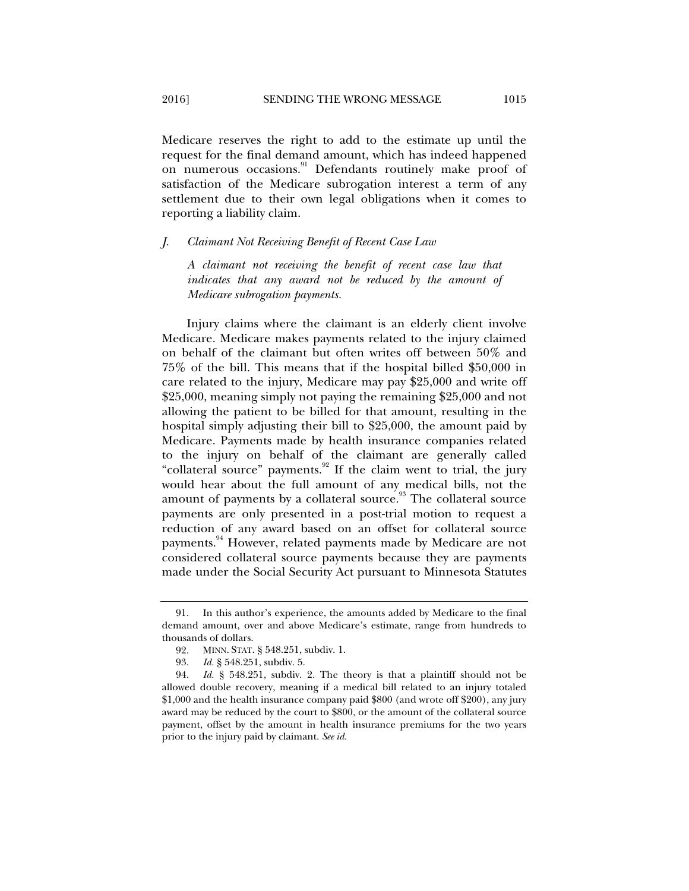Medicare reserves the right to add to the estimate up until the request for the final demand amount, which has indeed happened on numerous occasions.<sup>91</sup> Defendants routinely make proof of satisfaction of the Medicare subrogation interest a term of any settlement due to their own legal obligations when it comes to reporting a liability claim.

#### *J. Claimant Not Receiving Benefit of Recent Case Law*

*A claimant not receiving the benefit of recent case law that indicates that any award not be reduced by the amount of Medicare subrogation payments.* 

Injury claims where the claimant is an elderly client involve Medicare. Medicare makes payments related to the injury claimed on behalf of the claimant but often writes off between 50% and 75% of the bill. This means that if the hospital billed \$50,000 in care related to the injury, Medicare may pay \$25,000 and write off \$25,000, meaning simply not paying the remaining \$25,000 and not allowing the patient to be billed for that amount, resulting in the hospital simply adjusting their bill to \$25,000, the amount paid by Medicare. Payments made by health insurance companies related to the injury on behalf of the claimant are generally called "collateral source" payments.<sup>92</sup> If the claim went to trial, the jury would hear about the full amount of any medical bills, not the amount of payments by a collateral source.<sup>93</sup> The collateral source payments are only presented in a post-trial motion to request a reduction of any award based on an offset for collateral source payments.<sup>94</sup> However, related payments made by Medicare are not considered collateral source payments because they are payments made under the Social Security Act pursuant to Minnesota Statutes

 <sup>91.</sup> In this author's experience, the amounts added by Medicare to the final demand amount, over and above Medicare's estimate, range from hundreds to thousands of dollars.

 <sup>92.</sup> MINN. STAT. § 548.251, subdiv. 1.

 <sup>93.</sup> *Id.* § 548.251, subdiv. 5.

 <sup>94.</sup> *Id.* § 548.251, subdiv. 2. The theory is that a plaintiff should not be allowed double recovery, meaning if a medical bill related to an injury totaled \$1,000 and the health insurance company paid \$800 (and wrote off \$200), any jury award may be reduced by the court to \$800, or the amount of the collateral source payment, offset by the amount in health insurance premiums for the two years prior to the injury paid by claimant. *See id.*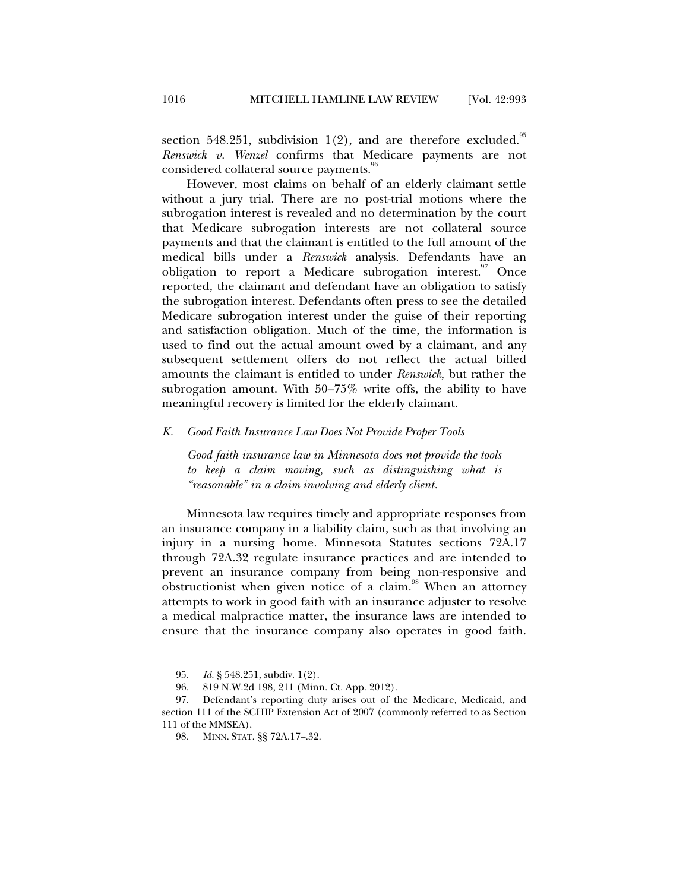section 548.251, subdivision 1(2), and are therefore excluded.<sup>95</sup> *Renswick v. Wenzel* confirms that Medicare payments are not considered collateral source payments.<sup>96</sup>

However, most claims on behalf of an elderly claimant settle without a jury trial. There are no post-trial motions where the subrogation interest is revealed and no determination by the court that Medicare subrogation interests are not collateral source payments and that the claimant is entitled to the full amount of the medical bills under a *Renswick* analysis. Defendants have an obligation to report a Medicare subrogation interest. Once reported, the claimant and defendant have an obligation to satisfy the subrogation interest. Defendants often press to see the detailed Medicare subrogation interest under the guise of their reporting and satisfaction obligation. Much of the time, the information is used to find out the actual amount owed by a claimant, and any subsequent settlement offers do not reflect the actual billed amounts the claimant is entitled to under *Renswick*, but rather the subrogation amount. With 50–75% write offs, the ability to have meaningful recovery is limited for the elderly claimant.

## *K. Good Faith Insurance Law Does Not Provide Proper Tools*

*Good faith insurance law in Minnesota does not provide the tools to keep a claim moving, such as distinguishing what is "reasonable" in a claim involving and elderly client.* 

Minnesota law requires timely and appropriate responses from an insurance company in a liability claim, such as that involving an injury in a nursing home. Minnesota Statutes sections 72A.17 through 72A.32 regulate insurance practices and are intended to prevent an insurance company from being non-responsive and obstructionist when given notice of a claim.<sup>98</sup> When an attorney attempts to work in good faith with an insurance adjuster to resolve a medical malpractice matter, the insurance laws are intended to ensure that the insurance company also operates in good faith.

 <sup>95.</sup> *Id.* § 548.251, subdiv. 1(2).

 <sup>96. 819</sup> N.W.2d 198, 211 (Minn. Ct. App. 2012).

 <sup>97.</sup> Defendant's reporting duty arises out of the Medicare, Medicaid, and section 111 of the SCHIP Extension Act of 2007 (commonly referred to as Section 111 of the MMSEA).

 <sup>98.</sup> MINN. STAT. §§ 72A.17–.32.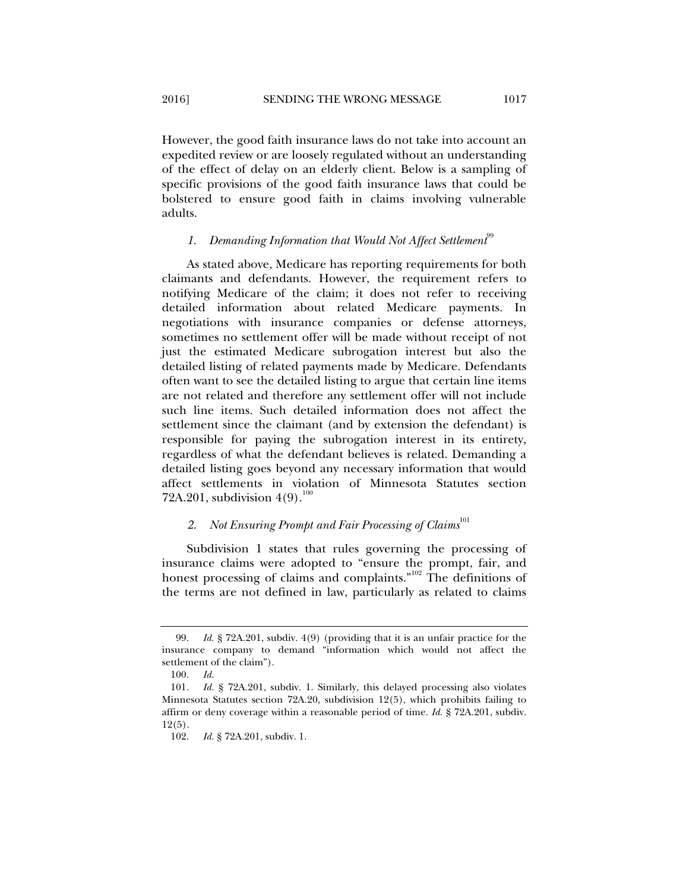However, the good faith insurance laws do not take into account an expedited review or are loosely regulated without an understanding of the effect of delay on an elderly client. Below is a sampling of specific provisions of the good faith insurance laws that could be bolstered to ensure good faith in claims involving vulnerable adults.

# 1. Demanding Information that Would Not Affect Settlement<sup>99</sup>

As stated above, Medicare has reporting requirements for both claimants and defendants. However, the requirement refers to notifying Medicare of the claim; it does not refer to receiving detailed information about related Medicare payments. In negotiations with insurance companies or defense attorneys, sometimes no settlement offer will be made without receipt of not just the estimated Medicare subrogation interest but also the detailed listing of related payments made by Medicare. Defendants often want to see the detailed listing to argue that certain line items are not related and therefore any settlement offer will not include such line items. Such detailed information does not affect the settlement since the claimant (and by extension the defendant) is responsible for paying the subrogation interest in its entirety, regardless of what the defendant believes is related. Demanding a detailed listing goes beyond any necessary information that would affect settlements in violation of Minnesota Statutes section 72A.201, subdivision  $4(9)$ .<sup>100</sup>

# 2. *Not Ensuring Prompt and Fair Processing of Claims*<sup>101</sup>

Subdivision 1 states that rules governing the processing of insurance claims were adopted to "ensure the prompt, fair, and honest processing of claims and complaints."<sup>102</sup> The definitions of the terms are not defined in law, particularly as related to claims

 <sup>99.</sup> *Id.* § 72A.201, subdiv. 4(9) (providing that it is an unfair practice for the insurance company to demand "information which would not affect the settlement of the claim").

 <sup>100.</sup> *Id.* 

 <sup>101.</sup> *Id.* § 72A.201, subdiv. 1. Similarly, this delayed processing also violates Minnesota Statutes section 72A.20, subdivision 12(5), which prohibits failing to affirm or deny coverage within a reasonable period of time. *Id.* § 72A.201, subdiv. 12(5).

 <sup>102.</sup> *Id.* § 72A.201, subdiv. 1.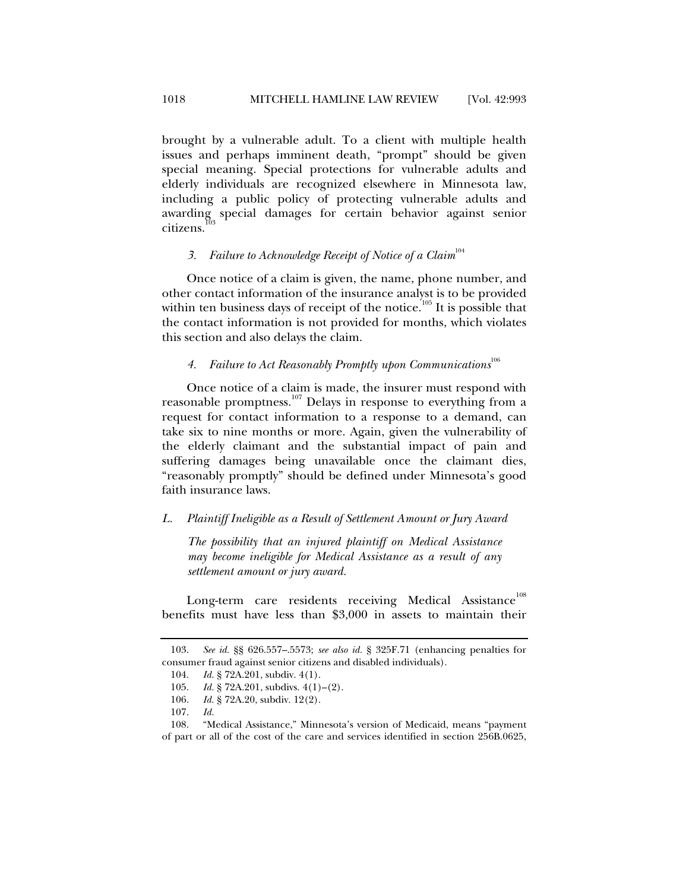brought by a vulnerable adult. To a client with multiple health issues and perhaps imminent death, "prompt" should be given special meaning. Special protections for vulnerable adults and elderly individuals are recognized elsewhere in Minnesota law, including a public policy of protecting vulnerable adults and awarding special damages for certain behavior against senior citizens.<sup>1</sup>

# 3. Failure to Acknowledge Receipt of Notice of a Claim<sup>104</sup>

Once notice of a claim is given, the name, phone number, and other contact information of the insurance analyst is to be provided within ten business days of receipt of the notice.<sup>105</sup> It is possible that the contact information is not provided for months, which violates this section and also delays the claim.

# *4. Failure to Act Reasonably Promptly upon Communications*<sup>106</sup>

Once notice of a claim is made, the insurer must respond with reasonable promptness.<sup>107</sup> Delays in response to everything from a request for contact information to a response to a demand, can take six to nine months or more. Again, given the vulnerability of the elderly claimant and the substantial impact of pain and suffering damages being unavailable once the claimant dies, "reasonably promptly" should be defined under Minnesota's good faith insurance laws.

#### *L. Plaintiff Ineligible as a Result of Settlement Amount or Jury Award*

*The possibility that an injured plaintiff on Medical Assistance may become ineligible for Medical Assistance as a result of any settlement amount or jury award.* 

Long-term care residents receiving Medical Assistance<sup>108</sup> benefits must have less than \$3,000 in assets to maintain their

 <sup>103.</sup> *See id.* §§ 626.557–.5573; *see also id.* § 325F.71 (enhancing penalties for consumer fraud against senior citizens and disabled individuals).

 <sup>104.</sup> *Id.* § 72A.201, subdiv. 4(1).

 <sup>105.</sup> *Id.* § 72A.201, subdivs. 4(1)–(2).

 <sup>106.</sup> *Id.* § 72A.20, subdiv. 12(2).

 <sup>107.</sup> *Id.*

 <sup>108. &</sup>quot;Medical Assistance," Minnesota's version of Medicaid, means "payment of part or all of the cost of the care and services identified in section 256B.0625,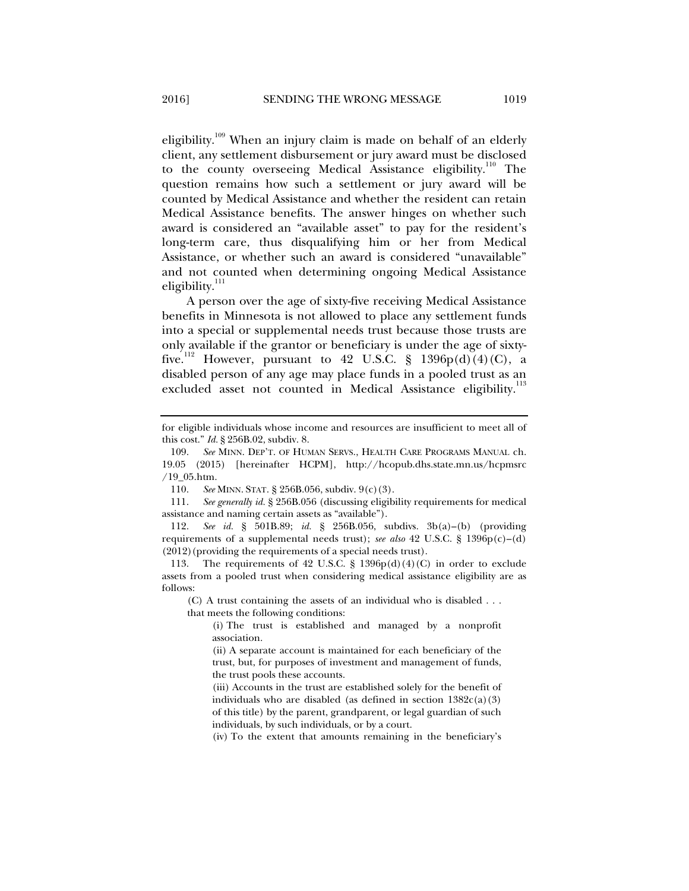eligibility.<sup>109</sup> When an injury claim is made on behalf of an elderly client, any settlement disbursement or jury award must be disclosed to the county overseeing Medical Assistance eligibility.<sup>110</sup> The question remains how such a settlement or jury award will be counted by Medical Assistance and whether the resident can retain Medical Assistance benefits. The answer hinges on whether such award is considered an "available asset" to pay for the resident's long-term care, thus disqualifying him or her from Medical Assistance, or whether such an award is considered "unavailable" and not counted when determining ongoing Medical Assistance eligibility. $111$ 

A person over the age of sixty-five receiving Medical Assistance benefits in Minnesota is not allowed to place any settlement funds into a special or supplemental needs trust because those trusts are only available if the grantor or beneficiary is under the age of sixtyfive.<sup>112</sup> However, pursuant to 42 U.S.C. § 1396p(d)(4)(C), a disabled person of any age may place funds in a pooled trust as an excluded asset not counted in Medical Assistance eligibility.<sup>113</sup>

 111. *See generally id.* § 256B.056 (discussing eligibility requirements for medical assistance and naming certain assets as "available").

 112. *See id.* § 501B.89; *id.* § 256B.056, subdivs. 3b(a)–(b) (providing requirements of a supplemental needs trust); *see also* 42 U.S.C. § 1396p(c)–(d) (2012)(providing the requirements of a special needs trust).

113. The requirements of 42 U.S.C. § 1396 $p(d)(4)(C)$  in order to exclude assets from a pooled trust when considering medical assistance eligibility are as follows:

(C) A trust containing the assets of an individual who is disabled . . . that meets the following conditions:

(i) The trust is established and managed by a nonprofit association.

(ii) A separate account is maintained for each beneficiary of the trust, but, for purposes of investment and management of funds, the trust pools these accounts.

(iii) Accounts in the trust are established solely for the benefit of individuals who are disabled (as defined in section  $1382c(a)(3)$ of this title) by the parent, grandparent, or legal guardian of such individuals, by such individuals, or by a court.

(iv) To the extent that amounts remaining in the beneficiary's

for eligible individuals whose income and resources are insufficient to meet all of this cost." *Id.* § 256B.02, subdiv. 8.

 <sup>109.</sup> *See* MINN. DEP'T. OF HUMAN SERVS., HEALTH CARE PROGRAMS MANUAL ch. 19.05 (2015) [hereinafter HCPM], http://hcopub.dhs.state.mn.us/hcpmsrc /19\_05.htm.

 <sup>110.</sup> *See* MINN. STAT. § 256B.056, subdiv. 9(c)(3).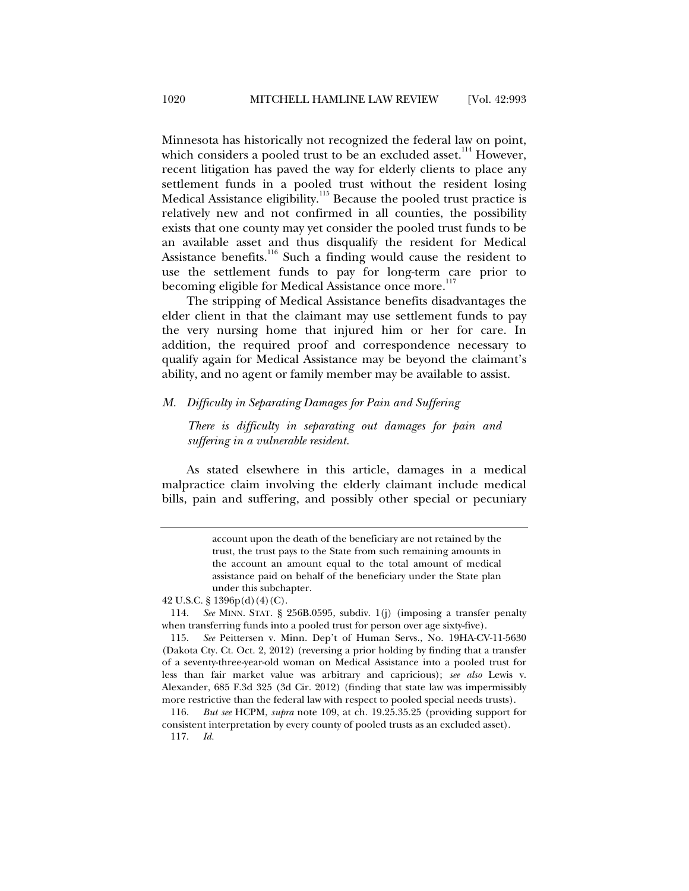Minnesota has historically not recognized the federal law on point, which considers a pooled trust to be an excluded asset.<sup>114</sup> However, recent litigation has paved the way for elderly clients to place any settlement funds in a pooled trust without the resident losing Medical Assistance eligibility.<sup>115</sup> Because the pooled trust practice is relatively new and not confirmed in all counties, the possibility exists that one county may yet consider the pooled trust funds to be an available asset and thus disqualify the resident for Medical Assistance benefits.<sup>116</sup> Such a finding would cause the resident to use the settlement funds to pay for long-term care prior to becoming eligible for Medical Assistance once more.<sup>117</sup>

The stripping of Medical Assistance benefits disadvantages the elder client in that the claimant may use settlement funds to pay the very nursing home that injured him or her for care. In addition, the required proof and correspondence necessary to qualify again for Medical Assistance may be beyond the claimant's ability, and no agent or family member may be available to assist.

#### *M. Difficulty in Separating Damages for Pain and Suffering*

*There is difficulty in separating out damages for pain and suffering in a vulnerable resident.* 

As stated elsewhere in this article, damages in a medical malpractice claim involving the elderly claimant include medical bills, pain and suffering, and possibly other special or pecuniary

account upon the death of the beneficiary are not retained by the trust, the trust pays to the State from such remaining amounts in the account an amount equal to the total amount of medical assistance paid on behalf of the beneficiary under the State plan under this subchapter.

<sup>42</sup> U.S.C. § 1396p(d)(4)(C).

 <sup>114.</sup> *See* MINN. STAT. § 256B.0595, subdiv. 1(j) (imposing a transfer penalty when transferring funds into a pooled trust for person over age sixty-five).

 <sup>115.</sup> *See* Peittersen v. Minn. Dep't of Human Servs., No. 19HA-CV-11-5630 (Dakota Cty. Ct. Oct. 2, 2012) (reversing a prior holding by finding that a transfer of a seventy-three-year-old woman on Medical Assistance into a pooled trust for less than fair market value was arbitrary and capricious); *see also* Lewis v. Alexander, 685 F.3d 325 (3d Cir. 2012) (finding that state law was impermissibly more restrictive than the federal law with respect to pooled special needs trusts).

 <sup>116.</sup> *But see* HCPM, *supra* note 109, at ch. 19.25.35.25 (providing support for consistent interpretation by every county of pooled trusts as an excluded asset).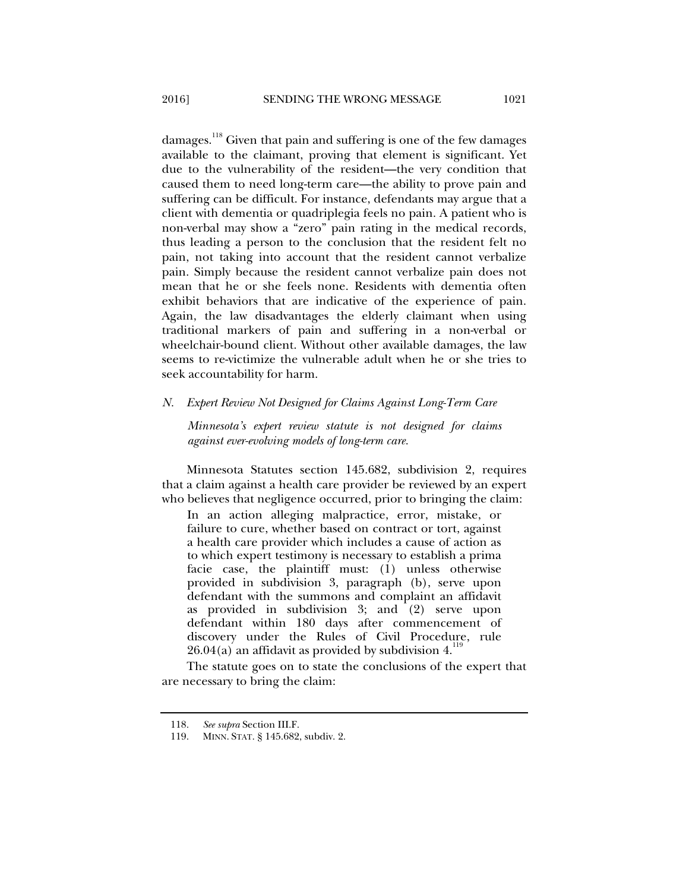damages.<sup>118</sup> Given that pain and suffering is one of the few damages available to the claimant, proving that element is significant. Yet due to the vulnerability of the resident—the very condition that caused them to need long-term care—the ability to prove pain and suffering can be difficult. For instance, defendants may argue that a client with dementia or quadriplegia feels no pain. A patient who is non-verbal may show a "zero" pain rating in the medical records, thus leading a person to the conclusion that the resident felt no pain, not taking into account that the resident cannot verbalize pain. Simply because the resident cannot verbalize pain does not mean that he or she feels none. Residents with dementia often exhibit behaviors that are indicative of the experience of pain. Again, the law disadvantages the elderly claimant when using traditional markers of pain and suffering in a non-verbal or wheelchair-bound client. Without other available damages, the law seems to re-victimize the vulnerable adult when he or she tries to seek accountability for harm.

#### *N. Expert Review Not Designed for Claims Against Long-Term Care*

*Minnesota's expert review statute is not designed for claims against ever-evolving models of long-term care.* 

Minnesota Statutes section 145.682, subdivision 2, requires that a claim against a health care provider be reviewed by an expert who believes that negligence occurred, prior to bringing the claim:

In an action alleging malpractice, error, mistake, or failure to cure, whether based on contract or tort, against a health care provider which includes a cause of action as to which expert testimony is necessary to establish a prima facie case, the plaintiff must: (1) unless otherwise provided in subdivision 3, paragraph (b), serve upon defendant with the summons and complaint an affidavit as provided in subdivision 3; and (2) serve upon defendant within 180 days after commencement of discovery under the Rules of Civil Procedure, rule  $26.04(a)$  an affidavit as provided by subdivision 4.<sup>119</sup>

The statute goes on to state the conclusions of the expert that are necessary to bring the claim:

 <sup>118.</sup> *See supra* Section III.F.

 <sup>119.</sup> MINN. STAT. § 145.682, subdiv. 2.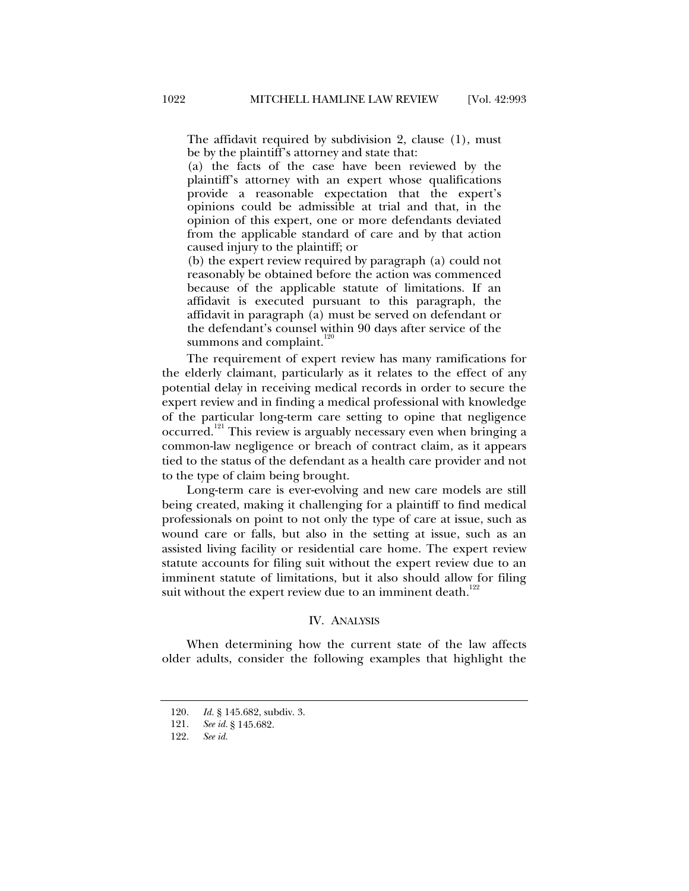The affidavit required by subdivision 2, clause (1), must be by the plaintiff's attorney and state that:

(a) the facts of the case have been reviewed by the plaintiff's attorney with an expert whose qualifications provide a reasonable expectation that the expert's opinions could be admissible at trial and that, in the opinion of this expert, one or more defendants deviated from the applicable standard of care and by that action caused injury to the plaintiff; or

(b) the expert review required by paragraph (a) could not reasonably be obtained before the action was commenced because of the applicable statute of limitations. If an affidavit is executed pursuant to this paragraph, the affidavit in paragraph (a) must be served on defendant or the defendant's counsel within 90 days after service of the summons and complaint. $120$ 

The requirement of expert review has many ramifications for the elderly claimant, particularly as it relates to the effect of any potential delay in receiving medical records in order to secure the expert review and in finding a medical professional with knowledge of the particular long-term care setting to opine that negligence occurred.121 This review is arguably necessary even when bringing a common-law negligence or breach of contract claim, as it appears tied to the status of the defendant as a health care provider and not to the type of claim being brought.

Long-term care is ever-evolving and new care models are still being created, making it challenging for a plaintiff to find medical professionals on point to not only the type of care at issue, such as wound care or falls, but also in the setting at issue, such as an assisted living facility or residential care home. The expert review statute accounts for filing suit without the expert review due to an imminent statute of limitations, but it also should allow for filing suit without the expert review due to an imminent death. $122$ 

#### IV. ANALYSIS

When determining how the current state of the law affects older adults, consider the following examples that highlight the

 <sup>120.</sup> *Id.* § 145.682, subdiv. 3.

 <sup>121.</sup> *See id.* § 145.682.

 <sup>122.</sup> *See id.*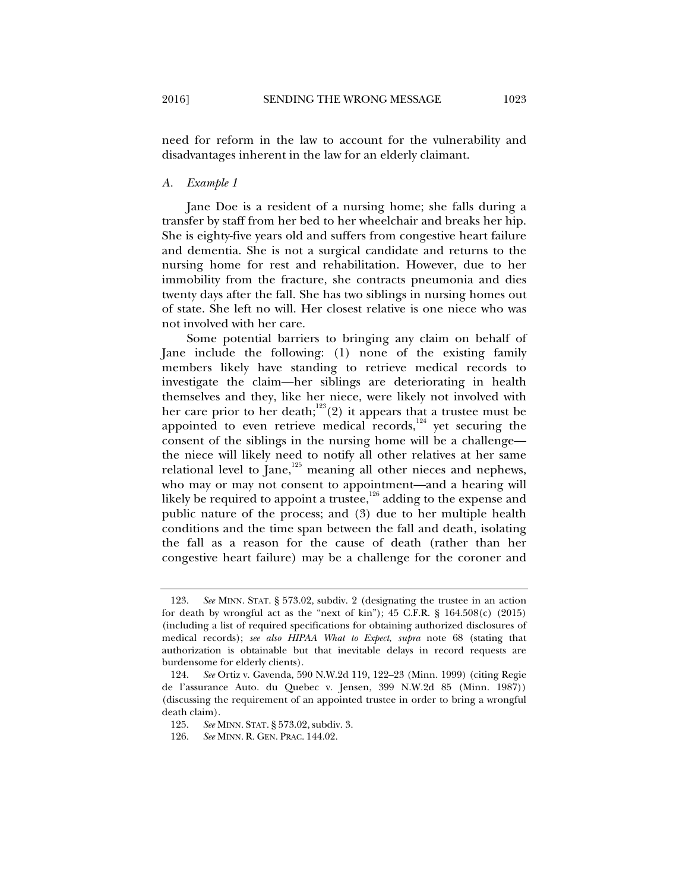need for reform in the law to account for the vulnerability and disadvantages inherent in the law for an elderly claimant.

#### *A. Example 1*

Jane Doe is a resident of a nursing home; she falls during a transfer by staff from her bed to her wheelchair and breaks her hip. She is eighty-five years old and suffers from congestive heart failure and dementia. She is not a surgical candidate and returns to the nursing home for rest and rehabilitation. However, due to her immobility from the fracture, she contracts pneumonia and dies twenty days after the fall. She has two siblings in nursing homes out of state. She left no will. Her closest relative is one niece who was not involved with her care.

Some potential barriers to bringing any claim on behalf of Jane include the following: (1) none of the existing family members likely have standing to retrieve medical records to investigate the claim—her siblings are deteriorating in health themselves and they, like her niece, were likely not involved with her care prior to her death;<sup>123</sup>(2) it appears that a trustee must be appointed to even retrieve medical records, $124$  yet securing the consent of the siblings in the nursing home will be a challenge the niece will likely need to notify all other relatives at her same relational level to  $\int$ ane,<sup>125</sup> meaning all other nieces and nephews, who may or may not consent to appointment—and a hearing will likely be required to appoint a trustee,<sup>126</sup> adding to the expense and public nature of the process; and (3) due to her multiple health conditions and the time span between the fall and death, isolating the fall as a reason for the cause of death (rather than her congestive heart failure) may be a challenge for the coroner and

 <sup>123.</sup> *See* MINN. STAT. § 573.02, subdiv. 2 (designating the trustee in an action for death by wrongful act as the "next of kin");  $45$  C.F.R. §  $164.508(c)$  (2015) (including a list of required specifications for obtaining authorized disclosures of medical records); *see also HIPAA What to Expect*, *supra* note 68 (stating that authorization is obtainable but that inevitable delays in record requests are burdensome for elderly clients).

 <sup>124.</sup> *See* Ortiz v. Gavenda, 590 N.W.2d 119, 122–23 (Minn. 1999) (citing Regie de l'assurance Auto. du Quebec v. Jensen, 399 N.W.2d 85 (Minn. 1987)) (discussing the requirement of an appointed trustee in order to bring a wrongful death claim).

 <sup>125.</sup> *See* MINN. STAT. § 573.02, subdiv. 3.

 <sup>126.</sup> *See* MINN. R. GEN. PRAC. 144.02.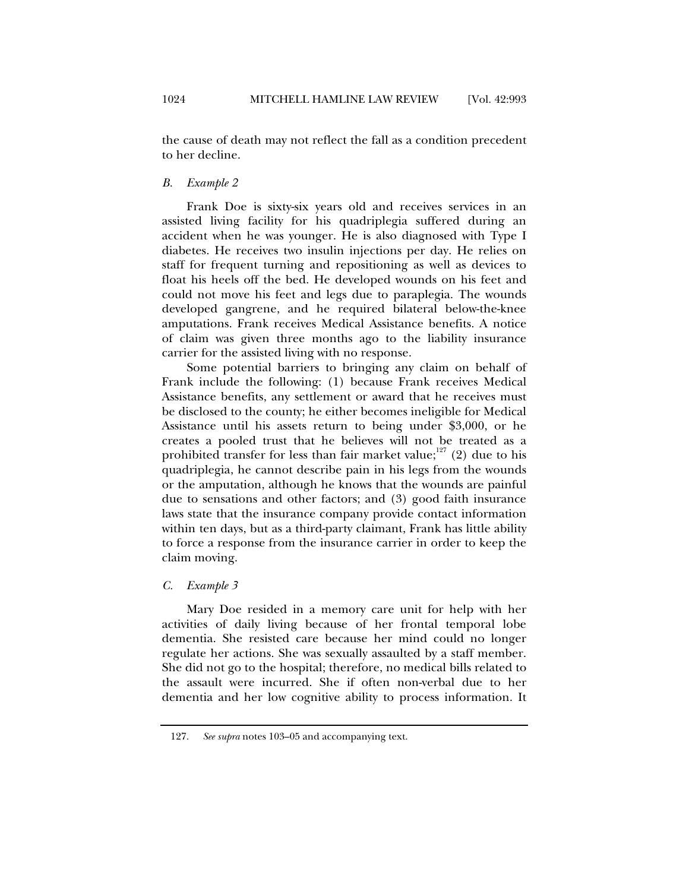the cause of death may not reflect the fall as a condition precedent to her decline.

#### *B. Example 2*

Frank Doe is sixty-six years old and receives services in an assisted living facility for his quadriplegia suffered during an accident when he was younger. He is also diagnosed with Type I diabetes. He receives two insulin injections per day. He relies on staff for frequent turning and repositioning as well as devices to float his heels off the bed. He developed wounds on his feet and could not move his feet and legs due to paraplegia. The wounds developed gangrene, and he required bilateral below-the-knee amputations. Frank receives Medical Assistance benefits. A notice of claim was given three months ago to the liability insurance carrier for the assisted living with no response.

Some potential barriers to bringing any claim on behalf of Frank include the following: (1) because Frank receives Medical Assistance benefits, any settlement or award that he receives must be disclosed to the county; he either becomes ineligible for Medical Assistance until his assets return to being under \$3,000, or he creates a pooled trust that he believes will not be treated as a prohibited transfer for less than fair market value;<sup>127</sup> (2) due to his quadriplegia, he cannot describe pain in his legs from the wounds or the amputation, although he knows that the wounds are painful due to sensations and other factors; and (3) good faith insurance laws state that the insurance company provide contact information within ten days, but as a third-party claimant, Frank has little ability to force a response from the insurance carrier in order to keep the claim moving.

#### *C. Example 3*

Mary Doe resided in a memory care unit for help with her activities of daily living because of her frontal temporal lobe dementia. She resisted care because her mind could no longer regulate her actions. She was sexually assaulted by a staff member. She did not go to the hospital; therefore, no medical bills related to the assault were incurred. She if often non-verbal due to her dementia and her low cognitive ability to process information. It

 <sup>127.</sup> *See supra* notes 103–05 and accompanying text.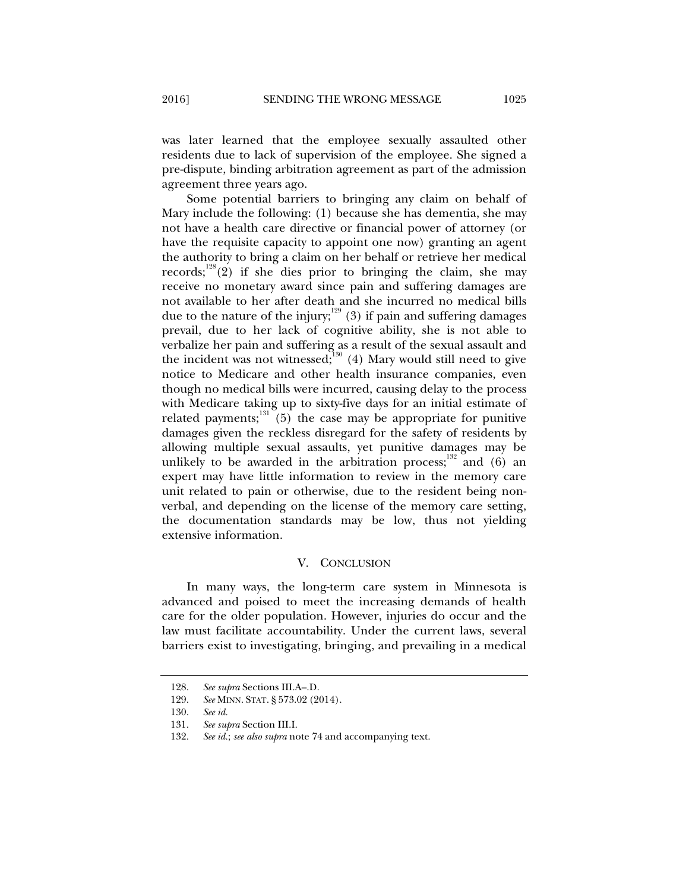was later learned that the employee sexually assaulted other residents due to lack of supervision of the employee. She signed a pre-dispute, binding arbitration agreement as part of the admission agreement three years ago.

Some potential barriers to bringing any claim on behalf of Mary include the following: (1) because she has dementia, she may not have a health care directive or financial power of attorney (or have the requisite capacity to appoint one now) granting an agent the authority to bring a claim on her behalf or retrieve her medical records;<sup>128</sup>(2) if she dies prior to bringing the claim, she may receive no monetary award since pain and suffering damages are not available to her after death and she incurred no medical bills due to the nature of the injury; $129$  (3) if pain and suffering damages prevail, due to her lack of cognitive ability, she is not able to verbalize her pain and suffering as a result of the sexual assault and the incident was not witnessed; $130$  (4) Mary would still need to give notice to Medicare and other health insurance companies, even though no medical bills were incurred, causing delay to the process with Medicare taking up to sixty-five days for an initial estimate of related payments; $131$ <sup>31</sup> $(5)$  the case may be appropriate for punitive damages given the reckless disregard for the safety of residents by allowing multiple sexual assaults, yet punitive damages may be unlikely to be awarded in the arbitration process; and (6) an expert may have little information to review in the memory care unit related to pain or otherwise, due to the resident being nonverbal, and depending on the license of the memory care setting, the documentation standards may be low, thus not yielding extensive information.

#### V. CONCLUSION

In many ways, the long-term care system in Minnesota is advanced and poised to meet the increasing demands of health care for the older population. However, injuries do occur and the law must facilitate accountability. Under the current laws, several barriers exist to investigating, bringing, and prevailing in a medical

 <sup>128.</sup> *See supra* Sections III.A–.D.

 <sup>129.</sup> *See* MINN. STAT. § 573.02 (2014).

 <sup>130.</sup> *See id.* 

 <sup>131.</sup> *See supra* Section III.I.

 <sup>132.</sup> *See id.*; *see also supra* note 74 and accompanying text.